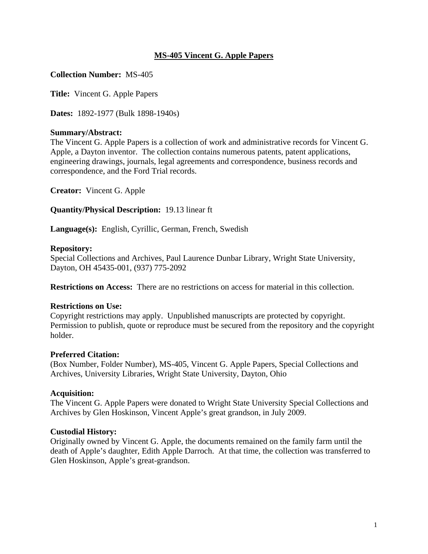## **MS-405 Vincent G. Apple Papers**

**Collection Number:** MS-405

**Title:** Vincent G. Apple Papers

**Dates:** 1892-1977 (Bulk 1898-1940s)

## **Summary/Abstract:**

The Vincent G. Apple Papers is a collection of work and administrative records for Vincent G. Apple, a Dayton inventor. The collection contains numerous patents, patent applications, engineering drawings, journals, legal agreements and correspondence, business records and correspondence, and the Ford Trial records.

**Creator:** Vincent G. Apple

**Quantity/Physical Description:** 19.13 linear ft

**Language(s):** English, Cyrillic, German, French, Swedish

## **Repository:**

Special Collections and Archives, Paul Laurence Dunbar Library, Wright State University, Dayton, OH 45435-001, (937) 775-2092

**Restrictions on Access:** There are no restrictions on access for material in this collection.

### **Restrictions on Use:**

Copyright restrictions may apply. Unpublished manuscripts are protected by copyright. Permission to publish, quote or reproduce must be secured from the repository and the copyright holder.

### **Preferred Citation:**

(Box Number, Folder Number), MS-405, Vincent G. Apple Papers, Special Collections and Archives, University Libraries, Wright State University, Dayton, Ohio

### **Acquisition:**

The Vincent G. Apple Papers were donated to Wright State University Special Collections and Archives by Glen Hoskinson, Vincent Apple's great grandson, in July 2009.

### **Custodial History:**

Originally owned by Vincent G. Apple, the documents remained on the family farm until the death of Apple's daughter, Edith Apple Darroch. At that time, the collection was transferred to Glen Hoskinson, Apple's great-grandson.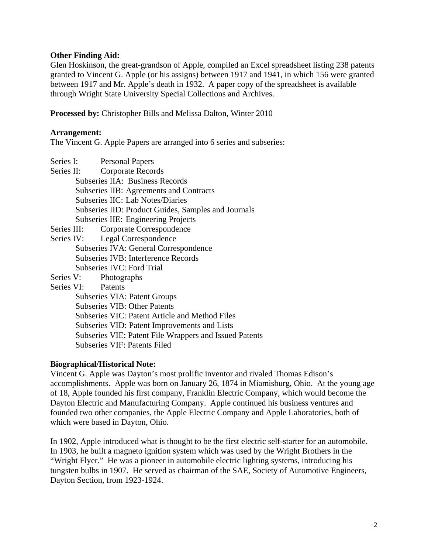## **Other Finding Aid:**

Glen Hoskinson, the great-grandson of Apple, compiled an Excel spreadsheet listing 238 patents granted to Vincent G. Apple (or his assigns) between 1917 and 1941, in which 156 were granted between 1917 and Mr. Apple's death in 1932. A paper copy of the spreadsheet is available through Wright State University Special Collections and Archives.

**Processed by:** Christopher Bills and Melissa Dalton, Winter 2010

## **Arrangement:**

The Vincent G. Apple Papers are arranged into 6 series and subseries:

Series I: Personal Papers

| Series II:<br><b>Corporate Records</b>              |
|-----------------------------------------------------|
| Subseries IIA: Business Records                     |
| Subseries IIB: Agreements and Contracts             |
| Subseries IIC: Lab Notes/Diaries                    |
| Subseries IID: Product Guides, Samples and Journals |
| <b>Subseries IIE: Engineering Projects</b>          |
| Series III: Corporate Correspondence                |
| Series IV: Legal Correspondence                     |
| Subseries IVA: General Correspondence               |
| Subseries IVB: Interference Records                 |
| Subseries IVC: Ford Trial                           |
| Series V: Photographs                               |
| Series VI: Patents                                  |
| Subseries VIA: Patent Groups                        |
| <b>Subseries VIB: Other Patents</b>                 |
| Subseries VIC: Patent Article and Method Files      |

- Subseries VID: Patent Improvements and Lists
- Subseries VIE: Patent File Wrappers and Issued Patents
- Subseries VIF: Patents Filed

### **Biographical/Historical Note:**

Vincent G. Apple was Dayton's most prolific inventor and rivaled Thomas Edison's accomplishments. Apple was born on January 26, 1874 in Miamisburg, Ohio. At the young age of 18, Apple founded his first company, Franklin Electric Company, which would become the Dayton Electric and Manufacturing Company. Apple continued his business ventures and founded two other companies, the Apple Electric Company and Apple Laboratories, both of which were based in Dayton, Ohio.

In 1902, Apple introduced what is thought to be the first electric self-starter for an automobile. In 1903, he built a magneto ignition system which was used by the Wright Brothers in the "Wright Flyer." He was a pioneer in automobile electric lighting systems, introducing his tungsten bulbs in 1907. He served as chairman of the SAE, Society of Automotive Engineers, Dayton Section, from 1923-1924.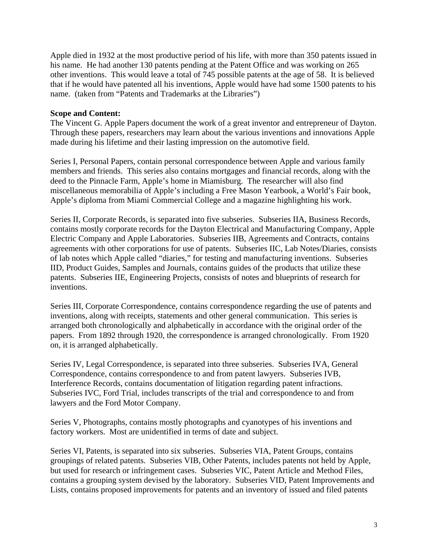Apple died in 1932 at the most productive period of his life, with more than 350 patents issued in his name. He had another 130 patents pending at the Patent Office and was working on 265 other inventions. This would leave a total of 745 possible patents at the age of 58. It is believed that if he would have patented all his inventions, Apple would have had some 1500 patents to his name. (taken from "Patents and Trademarks at the Libraries")

### **Scope and Content:**

The Vincent G. Apple Papers document the work of a great inventor and entrepreneur of Dayton. Through these papers, researchers may learn about the various inventions and innovations Apple made during his lifetime and their lasting impression on the automotive field.

Series I, Personal Papers, contain personal correspondence between Apple and various family members and friends. This series also contains mortgages and financial records, along with the deed to the Pinnacle Farm, Apple's home in Miamisburg. The researcher will also find miscellaneous memorabilia of Apple's including a Free Mason Yearbook, a World's Fair book, Apple's diploma from Miami Commercial College and a magazine highlighting his work.

Series II, Corporate Records, is separated into five subseries. Subseries IIA, Business Records, contains mostly corporate records for the Dayton Electrical and Manufacturing Company, Apple Electric Company and Apple Laboratories. Subseries IIB, Agreements and Contracts, contains agreements with other corporations for use of patents. Subseries IIC, Lab Notes/Diaries, consists of lab notes which Apple called "diaries," for testing and manufacturing inventions. Subseries IID, Product Guides, Samples and Journals, contains guides of the products that utilize these patents. Subseries IIE, Engineering Projects, consists of notes and blueprints of research for inventions.

Series III, Corporate Correspondence, contains correspondence regarding the use of patents and inventions, along with receipts, statements and other general communication. This series is arranged both chronologically and alphabetically in accordance with the original order of the papers. From 1892 through 1920, the correspondence is arranged chronologically. From 1920 on, it is arranged alphabetically.

Series IV, Legal Correspondence, is separated into three subseries. Subseries IVA, General Correspondence, contains correspondence to and from patent lawyers. Subseries IVB, Interference Records, contains documentation of litigation regarding patent infractions. Subseries IVC, Ford Trial, includes transcripts of the trial and correspondence to and from lawyers and the Ford Motor Company.

Series V, Photographs, contains mostly photographs and cyanotypes of his inventions and factory workers. Most are unidentified in terms of date and subject.

Series VI, Patents, is separated into six subseries. Subseries VIA, Patent Groups, contains groupings of related patents. Subseries VIB, Other Patents, includes patents not held by Apple, but used for research or infringement cases. Subseries VIC, Patent Article and Method Files, contains a grouping system devised by the laboratory. Subseries VID, Patent Improvements and Lists, contains proposed improvements for patents and an inventory of issued and filed patents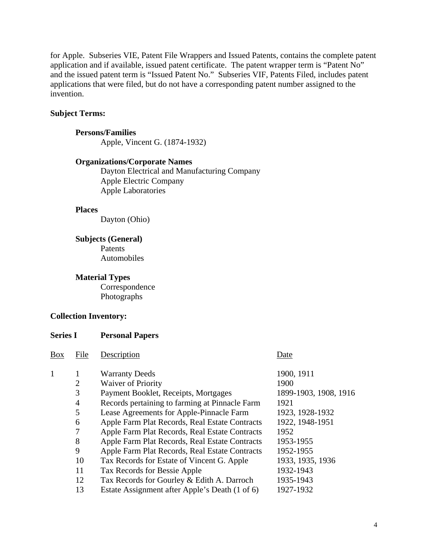for Apple. Subseries VIE, Patent File Wrappers and Issued Patents, contains the complete patent application and if available, issued patent certificate. The patent wrapper term is "Patent No" and the issued patent term is "Issued Patent No." Subseries VIF, Patents Filed, includes patent applications that were filed, but do not have a corresponding patent number assigned to the invention.

#### **Subject Terms:**

**Persons/Families**  Apple, Vincent G. (1874-1932)

#### **Organizations/Corporate Names**

 Dayton Electrical and Manufacturing Company Apple Electric Company Apple Laboratories

### **Places**

Dayton (Ohio)

#### **Subjects (General)**

Patents Automobiles

**Material Types** 

Correspondence Photographs

#### **Collection Inventory:**

**Series I Personal Papers** 

| <b>Box</b> | File           | Description                                    | Date                  |
|------------|----------------|------------------------------------------------|-----------------------|
| 1          | 1              | <b>Warranty Deeds</b>                          | 1900, 1911            |
|            | $\overline{2}$ | <b>Waiver of Priority</b>                      | 1900                  |
|            | 3              | Payment Booklet, Receipts, Mortgages           | 1899-1903, 1908, 1916 |
|            | $\overline{4}$ | Records pertaining to farming at Pinnacle Farm | 1921                  |
|            | 5              | Lease Agreements for Apple-Pinnacle Farm       | 1923, 1928-1932       |
|            | 6              | Apple Farm Plat Records, Real Estate Contracts | 1922, 1948-1951       |
|            | 7              | Apple Farm Plat Records, Real Estate Contracts | 1952                  |
|            | 8              | Apple Farm Plat Records, Real Estate Contracts | 1953-1955             |
|            | 9              | Apple Farm Plat Records, Real Estate Contracts | 1952-1955             |
|            | 10             | Tax Records for Estate of Vincent G. Apple     | 1933, 1935, 1936      |
|            | 11             | Tax Records for Bessie Apple                   | 1932-1943             |
|            | 12             | Tax Records for Gourley & Edith A. Darroch     | 1935-1943             |
|            | 13             | Estate Assignment after Apple's Death (1 of 6) | 1927-1932             |
|            |                |                                                |                       |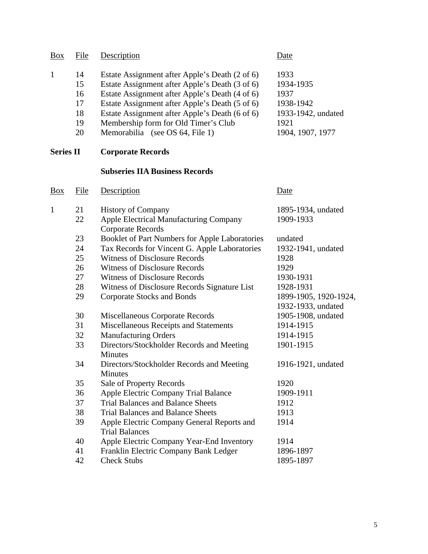| <b>Box</b>       | File                                   | Description                                                                                                                                                                                                                                                                                                                       | Date                                                                                     |
|------------------|----------------------------------------|-----------------------------------------------------------------------------------------------------------------------------------------------------------------------------------------------------------------------------------------------------------------------------------------------------------------------------------|------------------------------------------------------------------------------------------|
| $\mathbf{1}$     | 14<br>15<br>16<br>17<br>18<br>19<br>20 | Estate Assignment after Apple's Death (2 of 6)<br>Estate Assignment after Apple's Death (3 of 6)<br>Estate Assignment after Apple's Death (4 of 6)<br>Estate Assignment after Apple's Death (5 of 6)<br>Estate Assignment after Apple's Death (6 of 6)<br>Membership form for Old Timer's Club<br>Memorabilia (see OS 64, File 1) | 1933<br>1934-1935<br>1937<br>1938-1942<br>1933-1942, undated<br>1921<br>1904, 1907, 1977 |
| <b>Series II</b> |                                        | <b>Corporate Records</b>                                                                                                                                                                                                                                                                                                          |                                                                                          |
|                  |                                        | <b>Subseries IIA Business Records</b>                                                                                                                                                                                                                                                                                             |                                                                                          |
| $\frac{Box}{}$   | <b>File</b>                            | Description                                                                                                                                                                                                                                                                                                                       | <b>Date</b>                                                                              |
| 1                | 21<br>22                               | <b>History of Company</b><br>Apple Electrical Manufacturing Company<br><b>Corporate Records</b>                                                                                                                                                                                                                                   | 1895-1934, undated<br>1909-1933                                                          |
|                  | 23                                     | Booklet of Part Numbers for Apple Laboratories                                                                                                                                                                                                                                                                                    | undated                                                                                  |
|                  | 24                                     | Tax Records for Vincent G. Apple Laboratories                                                                                                                                                                                                                                                                                     | 1932-1941, undated                                                                       |
|                  | 25                                     | <b>Witness of Disclosure Records</b>                                                                                                                                                                                                                                                                                              | 1928                                                                                     |
|                  | 26                                     | <b>Witness of Disclosure Records</b>                                                                                                                                                                                                                                                                                              | 1929                                                                                     |
|                  | 27                                     | <b>Witness of Disclosure Records</b>                                                                                                                                                                                                                                                                                              | 1930-1931                                                                                |
|                  | 28                                     | Witness of Disclosure Records Signature List                                                                                                                                                                                                                                                                                      | 1928-1931                                                                                |
|                  | 29                                     | <b>Corporate Stocks and Bonds</b>                                                                                                                                                                                                                                                                                                 | 1899-1905, 1920-1924,<br>1932-1933, undated                                              |
|                  | 30                                     | Miscellaneous Corporate Records                                                                                                                                                                                                                                                                                                   | 1905-1908, undated                                                                       |
|                  | 31                                     | Miscellaneous Receipts and Statements                                                                                                                                                                                                                                                                                             | 1914-1915                                                                                |
|                  | 32                                     | <b>Manufacturing Orders</b>                                                                                                                                                                                                                                                                                                       | 1914-1915                                                                                |
|                  | 33                                     | Directors/Stockholder Records and Meeting<br>Minutes                                                                                                                                                                                                                                                                              | 1901-1915                                                                                |
|                  | 34                                     | Directors/Stockholder Records and Meeting<br>Minutes                                                                                                                                                                                                                                                                              | 1916-1921, undated                                                                       |
|                  | 35                                     | Sale of Property Records                                                                                                                                                                                                                                                                                                          | 1920                                                                                     |
|                  | 36                                     | Apple Electric Company Trial Balance                                                                                                                                                                                                                                                                                              | 1909-1911                                                                                |
|                  | 37                                     | <b>Trial Balances and Balance Sheets</b>                                                                                                                                                                                                                                                                                          | 1912                                                                                     |
|                  | 38                                     | <b>Trial Balances and Balance Sheets</b>                                                                                                                                                                                                                                                                                          | 1913                                                                                     |
|                  | 39                                     | Apple Electric Company General Reports and<br><b>Trial Balances</b>                                                                                                                                                                                                                                                               | 1914                                                                                     |
|                  | 40                                     | Apple Electric Company Year-End Inventory                                                                                                                                                                                                                                                                                         | 1914                                                                                     |
|                  | 41                                     | Franklin Electric Company Bank Ledger                                                                                                                                                                                                                                                                                             | 1896-1897                                                                                |
|                  | 42                                     | <b>Check Stubs</b>                                                                                                                                                                                                                                                                                                                | 1895-1897                                                                                |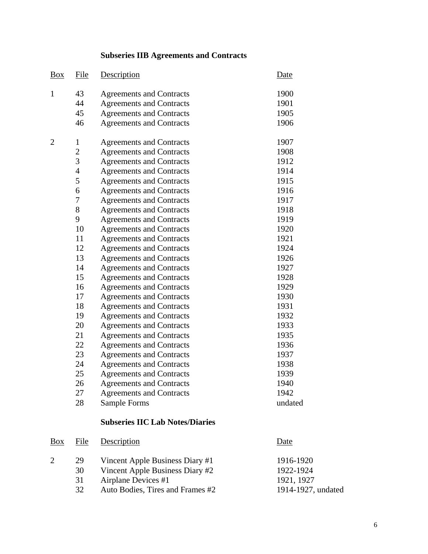# **Subseries IIB Agreements and Contracts**

| $\underline{Box}$ | File           | Description                     | Date    |
|-------------------|----------------|---------------------------------|---------|
| $\mathbf{1}$      | 43             | <b>Agreements and Contracts</b> | 1900    |
|                   | 44             | <b>Agreements and Contracts</b> | 1901    |
|                   | 45             | <b>Agreements and Contracts</b> | 1905    |
|                   | 46             | <b>Agreements and Contracts</b> | 1906    |
| $\overline{2}$    | $\mathbf{1}$   | <b>Agreements and Contracts</b> | 1907    |
|                   | $\overline{2}$ | <b>Agreements and Contracts</b> | 1908    |
|                   | 3              | <b>Agreements and Contracts</b> | 1912    |
|                   | $\overline{4}$ | <b>Agreements and Contracts</b> | 1914    |
|                   | 5              | <b>Agreements and Contracts</b> | 1915    |
|                   | 6              | <b>Agreements and Contracts</b> | 1916    |
|                   | 7              | <b>Agreements and Contracts</b> | 1917    |
|                   | 8              | <b>Agreements and Contracts</b> | 1918    |
|                   | 9              | <b>Agreements and Contracts</b> | 1919    |
|                   | 10             | <b>Agreements and Contracts</b> | 1920    |
|                   | 11             | <b>Agreements and Contracts</b> | 1921    |
|                   | 12             | <b>Agreements and Contracts</b> | 1924    |
|                   | 13             | <b>Agreements and Contracts</b> | 1926    |
|                   | 14             | <b>Agreements and Contracts</b> | 1927    |
|                   | 15             | <b>Agreements and Contracts</b> | 1928    |
|                   | 16             | <b>Agreements and Contracts</b> | 1929    |
|                   | 17             | <b>Agreements and Contracts</b> | 1930    |
|                   | 18             | <b>Agreements and Contracts</b> | 1931    |
|                   | 19             | <b>Agreements and Contracts</b> | 1932    |
|                   | 20             | <b>Agreements and Contracts</b> | 1933    |
|                   | 21             | <b>Agreements and Contracts</b> | 1935    |
|                   | 22             | <b>Agreements and Contracts</b> | 1936    |
|                   | 23             | <b>Agreements and Contracts</b> | 1937    |
|                   | 24             | <b>Agreements and Contracts</b> | 1938    |
|                   | 25             | <b>Agreements and Contracts</b> | 1939    |
|                   | 26             | <b>Agreements and Contracts</b> | 1940    |
|                   | 27             | <b>Agreements and Contracts</b> | 1942    |
|                   | 28             | Sample Forms                    | undated |

# **Subseries IIC Lab Notes/Diaries**

| Box | File | Description                      | Date               |
|-----|------|----------------------------------|--------------------|
|     | 29   | Vincent Apple Business Diary #1  | 1916-1920          |
|     | 30   | Vincent Apple Business Diary #2  | 1922-1924          |
|     | 31   | Airplane Devices #1              | 1921, 1927         |
|     | 32   | Auto Bodies, Tires and Frames #2 | 1914-1927, undated |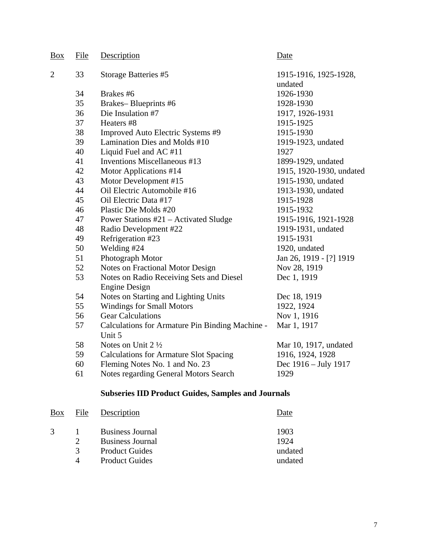| Box | File | Description                                                      | Date                             |
|-----|------|------------------------------------------------------------------|----------------------------------|
| 2   | 33   | Storage Batteries #5                                             | 1915-1916, 1925-1928,<br>undated |
|     | 34   | Brakes #6                                                        | 1926-1930                        |
|     | 35   | Brakes-Blueprints #6                                             | 1928-1930                        |
|     | 36   | Die Insulation #7                                                | 1917, 1926-1931                  |
|     | 37   | Heaters #8                                                       | 1915-1925                        |
|     | 38   | Improved Auto Electric Systems #9                                | 1915-1930                        |
|     | 39   | Lamination Dies and Molds #10                                    | 1919-1923, undated               |
|     | 40   | Liquid Fuel and AC#11                                            | 1927                             |
|     | 41   | Inventions Miscellaneous #13                                     | 1899-1929, undated               |
|     | 42   | Motor Applications #14                                           | 1915, 1920-1930, undated         |
|     | 43   | Motor Development #15                                            | 1915-1930, undated               |
|     | 44   | Oil Electric Automobile #16                                      | 1913-1930, undated               |
|     | 45   | Oil Electric Data #17                                            | 1915-1928                        |
|     | 46   | Plastic Die Molds #20                                            | 1915-1932                        |
|     | 47   | Power Stations #21 – Activated Sludge                            | 1915-1916, 1921-1928             |
|     | 48   | Radio Development #22                                            | 1919-1931, undated               |
|     | 49   | Refrigeration #23                                                | 1915-1931                        |
|     | 50   | Welding #24                                                      | 1920, undated                    |
|     | 51   | Photograph Motor                                                 | Jan 26, 1919 - [?] 1919          |
|     | 52   | Notes on Fractional Motor Design                                 | Nov 28, 1919                     |
|     | 53   | Notes on Radio Receiving Sets and Diesel<br><b>Engine Design</b> | Dec 1, 1919                      |
|     | 54   | Notes on Starting and Lighting Units                             | Dec 18, 1919                     |
|     | 55   | <b>Windings for Small Motors</b>                                 | 1922, 1924                       |
|     | 56   | <b>Gear Calculations</b>                                         | Nov 1, 1916                      |
|     | 57   | Calculations for Armature Pin Binding Machine -<br>Unit 5        | Mar 1, 1917                      |
|     | 58   | Notes on Unit $2\frac{1}{2}$                                     | Mar 10, 1917, undated            |
|     | 59   | <b>Calculations for Armature Slot Spacing</b>                    | 1916, 1924, 1928                 |
|     | 60   | Fleming Notes No. 1 and No. 23                                   | Dec 1916 – July 1917             |
|     | 61   | Notes regarding General Motors Search                            | 1929                             |

# **Subseries IID Product Guides, Samples and Journals**

| Box           | File          | Description             | )ate    |
|---------------|---------------|-------------------------|---------|
| $\mathcal{R}$ |               | <b>Business Journal</b> | 1903    |
|               | 2             | <b>Business Journal</b> | 1924    |
|               | $\mathcal{R}$ | <b>Product Guides</b>   | undated |
|               |               | <b>Product Guides</b>   | undated |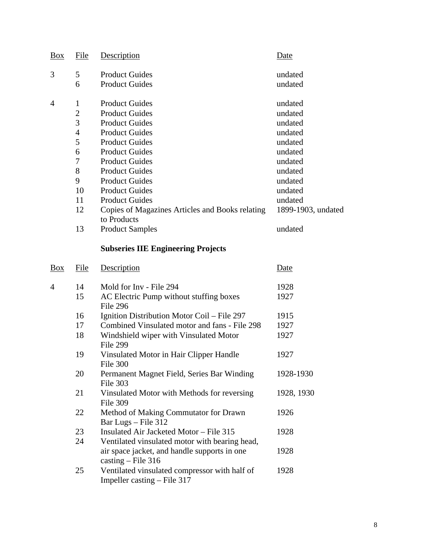| Box            | File           | Description                                         | Date               |
|----------------|----------------|-----------------------------------------------------|--------------------|
| 3              | 5              | <b>Product Guides</b>                               | undated            |
|                | 6              | <b>Product Guides</b>                               | undated            |
| $\overline{4}$ | $\mathbf{1}$   | <b>Product Guides</b>                               | undated            |
|                | $\overline{2}$ | <b>Product Guides</b>                               | undated            |
|                | $\overline{3}$ | <b>Product Guides</b>                               | undated            |
|                | $\overline{4}$ | <b>Product Guides</b>                               | undated            |
|                | 5              | <b>Product Guides</b>                               | undated            |
|                | 6              | <b>Product Guides</b>                               | undated            |
|                | 7              | <b>Product Guides</b>                               | undated            |
|                | 8              | <b>Product Guides</b>                               | undated            |
|                | 9              | <b>Product Guides</b>                               | undated            |
|                | 10             | <b>Product Guides</b>                               | undated            |
|                | 11             | <b>Product Guides</b>                               | undated            |
|                | 12             | Copies of Magazines Articles and Books relating     | 1899-1903, undated |
|                |                | to Products                                         |                    |
|                | 13             | <b>Product Samples</b>                              | undated            |
|                |                | <b>Subseries IIE Engineering Projects</b>           |                    |
| Box            | File           | Description                                         | Date               |
| $\overline{4}$ | 14             | Mold for Inv - File 294                             | 1928               |
|                | 15             | AC Electric Pump without stuffing boxes<br>File 296 | 1927               |
|                | 16             | Ignition Distribution Motor Coil - File 297         | 1915               |
|                | 17             | Combined Vinsulated motor and fans - File 298       | 1927               |
|                | 18             | Windshield wiper with Vinsulated Motor<br>File 299  | 1927               |
|                | 19             | Vinsulated Motor in Hair Clipper Handle<br>File 300 | 1927               |
|                | $\Omega$       | Dormanant Magnot Eight, Coring Dar Winding          | 1020, 1020         |

- 20 Permanent Magnet Field, Series Bar Winding 1928-1930 File 303 21 Vinsulated Motor with Methods for reversing 1928, 1930 File 309<br>22 Method Method of Making Commutator for Drawn 1926 Bar Lugs – File 312 23 Insulated Air Jacketed Motor – File 315 1928 24 Ventilated vinsulated motor with bearing head, air space jacket, and handle supports in one 1928 casting – File 316
- 25 Ventilated vinsulated compressor with half of 1928 Impeller casting – File 317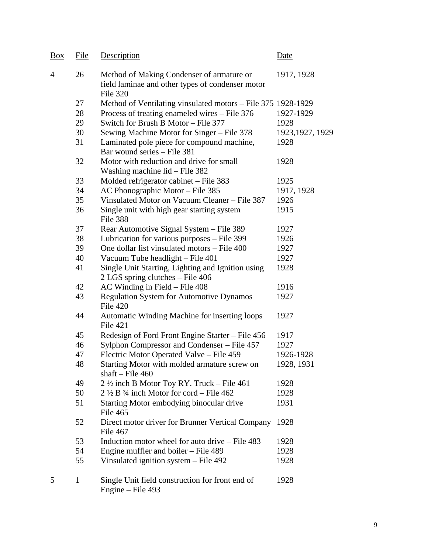| Box            | File         | Description                                                                                               | Date             |
|----------------|--------------|-----------------------------------------------------------------------------------------------------------|------------------|
| $\overline{4}$ | 26           | Method of Making Condenser of armature or<br>field laminae and other types of condenser motor<br>File 320 | 1917, 1928       |
|                | 27           | Method of Ventilating vinsulated motors - File 375 1928-1929                                              |                  |
|                | 28           | Process of treating enameled wires – File 376                                                             | 1927-1929        |
|                | 29           | Switch for Brush B Motor – File 377                                                                       | 1928             |
|                | 30           | Sewing Machine Motor for Singer – File 378                                                                | 1923, 1927, 1929 |
|                | 31           | Laminated pole piece for compound machine,<br>Bar wound series - File 381                                 | 1928             |
|                | 32           | Motor with reduction and drive for small<br>Washing machine $lid$ – File 382                              | 1928             |
|                | 33           | Molded refrigerator cabinet - File 383                                                                    | 1925             |
|                | 34           | AC Phonographic Motor - File 385                                                                          | 1917, 1928       |
|                | 35           | Vinsulated Motor on Vacuum Cleaner - File 387                                                             | 1926             |
|                | 36           | Single unit with high gear starting system<br>File 388                                                    | 1915             |
|                | 37           | Rear Automotive Signal System - File 389                                                                  | 1927             |
|                | 38           | Lubrication for various purposes - File 399                                                               | 1926             |
|                | 39           | One dollar list vinsulated motors – File 400                                                              | 1927             |
|                | 40           | Vacuum Tube headlight – File 401                                                                          | 1927             |
|                | 41           | Single Unit Starting, Lighting and Ignition using<br>2 LGS spring clutches - File 406                     | 1928             |
|                | 42           | AC Winding in Field – File 408                                                                            | 1916             |
|                | 43           | <b>Regulation System for Automotive Dynamos</b><br>File 420                                               | 1927             |
|                | 44           | Automatic Winding Machine for inserting loops<br><b>File 421</b>                                          | 1927             |
|                | 45           | Redesign of Ford Front Engine Starter - File 456                                                          | 1917             |
|                | 46           | Sylphon Compressor and Condenser – File 457                                                               | 1927             |
|                | 47           | Electric Motor Operated Valve - File 459                                                                  | 1926-1928        |
|                | 48           | Starting Motor with molded armature screw on<br>shaft – File $460$                                        | 1928, 1931       |
|                | 49           | $2\frac{1}{2}$ inch B Motor Toy RY. Truck – File 461                                                      | 1928             |
|                | 50           | $2\frac{1}{2}$ B $\frac{3}{4}$ inch Motor for cord – File 462                                             | 1928             |
|                | 51           | Starting Motor embodying binocular drive<br>File 465                                                      | 1931             |
|                | 52           | Direct motor driver for Brunner Vertical Company<br>File 467                                              | 1928             |
|                | 53           | Induction motor wheel for auto drive - File 483                                                           | 1928             |
|                | 54           | Engine muffler and boiler – File 489                                                                      | 1928             |
|                | 55           | Vinsulated ignition system - File 492                                                                     | 1928             |
| 5              | $\mathbf{1}$ | Single Unit field construction for front end of<br>Engine – File 493                                      | 1928             |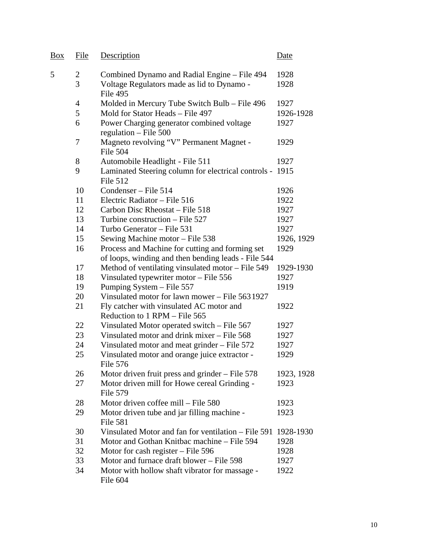| <b>Box</b> | File           | Description                                                                                 | Date       |
|------------|----------------|---------------------------------------------------------------------------------------------|------------|
| 5          | $\overline{2}$ | Combined Dynamo and Radial Engine - File 494                                                | 1928       |
|            | 3              | Voltage Regulators made as lid to Dynamo -<br>File 495                                      | 1928       |
|            | 4              | Molded in Mercury Tube Switch Bulb - File 496                                               | 1927       |
|            | 5              | Mold for Stator Heads - File 497                                                            | 1926-1928  |
|            | 6              | Power Charging generator combined voltage<br>regulation $-$ File 500                        | 1927       |
|            | 7              | Magneto revolving "V" Permanent Magnet -<br>File 504                                        | 1929       |
|            | 8              | Automobile Headlight - File 511                                                             | 1927       |
|            | 9              | Laminated Steering column for electrical controls - 1915<br><b>File 512</b>                 |            |
|            | 10             | Condenser – File 514                                                                        | 1926       |
|            | 11             | Electric Radiator - File 516                                                                | 1922       |
|            | 12             | Carbon Disc Rheostat – File 518                                                             | 1927       |
|            | 13             | Turbine construction – File 527                                                             | 1927       |
|            | 14             | Turbo Generator - File 531                                                                  | 1927       |
|            | 15             | Sewing Machine motor – File 538                                                             | 1926, 1929 |
|            | 16             | Process and Machine for cutting and forming set                                             | 1929       |
|            | 17             | of loops, winding and then bending leads - File 544                                         | 1929-1930  |
|            | 18             | Method of ventilating vinsulated motor – File 549<br>Vinsulated typewriter motor - File 556 | 1927       |
|            | 19             | Pumping System - File 557                                                                   | 1919       |
|            | 20             | Vinsulated motor for lawn mower – File 5631927                                              |            |
|            | 21             | Fly catcher with vinsulated AC motor and                                                    | 1922       |
|            |                | Reduction to 1 RPM - File 565                                                               |            |
|            | 22             | Vinsulated Motor operated switch – File 567                                                 | 1927       |
|            | 23             | Vinsulated motor and drink mixer – File 568                                                 | 1927       |
|            | 24             | Vinsulated motor and meat grinder – File 572                                                | 1927       |
|            | 25             | Vinsulated motor and orange juice extractor -<br>File 576                                   | 1929       |
|            | 26             | Motor driven fruit press and grinder $-$ File 578                                           | 1923, 1928 |
|            | 27             | Motor driven mill for Howe cereal Grinding -<br>File 579                                    | 1923       |
|            | 28             | Motor driven coffee mill - File 580                                                         | 1923       |
|            | 29             | Motor driven tube and jar filling machine -<br><b>File 581</b>                              | 1923       |
|            | 30             | Vinsulated Motor and fan for ventilation – File 591                                         | 1928-1930  |
|            | 31             | Motor and Gothan Knitbac machine – File 594                                                 | 1928       |
|            | 32             | Motor for cash register - File 596                                                          | 1928       |
|            | 33             | Motor and furnace draft blower - File 598                                                   | 1927       |
|            | 34             | Motor with hollow shaft vibrator for massage -<br>File 604                                  | 1922       |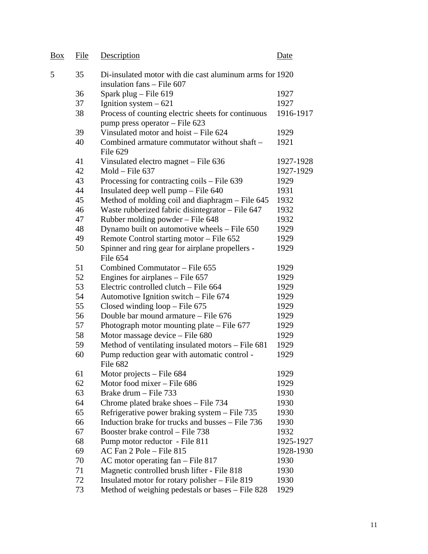| Box | File | Description                                                                           | Date      |
|-----|------|---------------------------------------------------------------------------------------|-----------|
| 5   | 35   | Di-insulated motor with die cast aluminum arms for 1920<br>insulation fans - File 607 |           |
|     | 36   | Spark plug - File 619                                                                 | 1927      |
|     | 37   | Ignition system $-621$                                                                | 1927      |
|     | 38   | Process of counting electric sheets for continuous<br>pump press operator - File 623  | 1916-1917 |
|     | 39   | Vinsulated motor and hoist - File 624                                                 | 1929      |
|     | 40   | Combined armature commutator without shaft –<br>File 629                              | 1921      |
|     | 41   | Vinsulated electro magnet – File 636                                                  | 1927-1928 |
|     | 42   | $Mold - File 637$                                                                     | 1927-1929 |
|     | 43   | Processing for contracting coils – File 639                                           | 1929      |
|     | 44   | Insulated deep well pump – File 640                                                   | 1931      |
|     | 45   | Method of molding coil and diaphragm – File 645                                       | 1932      |
|     | 46   | Waste rubberized fabric disintegrator $-$ File 647                                    | 1932      |
|     | 47   | Rubber molding powder – File 648                                                      | 1932      |
|     | 48   | Dynamo built on automotive wheels - File 650                                          | 1929      |
|     | 49   | Remote Control starting motor – File 652                                              | 1929      |
|     | 50   | Spinner and ring gear for airplane propellers -<br>File 654                           | 1929      |
|     | 51   | Combined Commutator – File 655                                                        | 1929      |
|     | 52   | Engines for airplanes $-$ File 657                                                    | 1929      |
|     | 53   | Electric controlled clutch - File 664                                                 | 1929      |
|     | 54   | Automotive Ignition switch – File 674                                                 | 1929      |
|     | 55   | Closed winding $loop$ – File 675                                                      | 1929      |
|     | 56   | Double bar mound armature - File 676                                                  | 1929      |
|     | 57   | Photograph motor mounting plate $-$ File 677                                          | 1929      |
|     | 58   | Motor massage device - File 680                                                       | 1929      |
|     | 59   | Method of ventilating insulated motors – File 681                                     | 1929      |
|     | 60   | Pump reduction gear with automatic control -<br>File 682                              | 1929      |
|     | 61   | Motor projects $-$ File 684                                                           | 1929      |
|     | 62   | Motor food mixer - File 686                                                           | 1929      |
|     | 63   | Brake drum – File 733                                                                 | 1930      |
|     | 64   | Chrome plated brake shoes – File 734                                                  | 1930      |
|     | 65   | Refrigerative power braking system – File 735                                         | 1930      |
|     | 66   | Induction brake for trucks and busses – File 736                                      | 1930      |
|     | 67   | Booster brake control – File 738                                                      | 1932      |
|     | 68   | Pump motor reductor - File 811                                                        | 1925-1927 |
|     | 69   | AC Fan 2 Pole - File 815                                                              | 1928-1930 |
|     | 70   | AC motor operating $fan$ – File 817                                                   | 1930      |
|     | 71   | Magnetic controlled brush lifter - File 818                                           | 1930      |
|     | 72   | Insulated motor for rotary polisher – File 819                                        | 1930      |
|     | 73   | Method of weighing pedestals or bases – File 828                                      | 1929      |
|     |      |                                                                                       |           |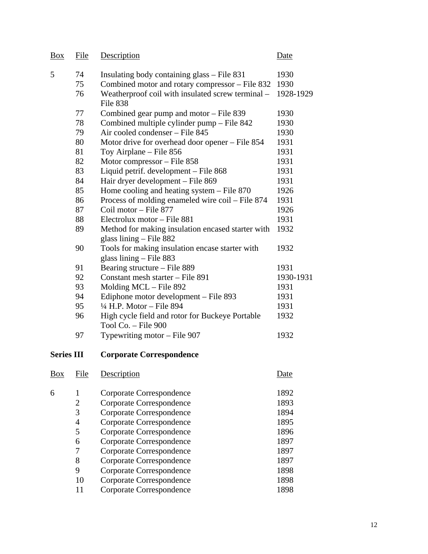| <b>Box</b>        | File           | Description                                                                    | Date        |
|-------------------|----------------|--------------------------------------------------------------------------------|-------------|
| 5                 | 74             | Insulating body containing glass – File 831                                    | 1930        |
|                   | 75             | Combined motor and rotary compressor – File 832                                | 1930        |
|                   | 76             | Weatherproof coil with insulated screw terminal -<br>File 838                  | 1928-1929   |
|                   | 77             | Combined gear pump and motor – File 839                                        | 1930        |
|                   | 78             | Combined multiple cylinder pump - File 842                                     | 1930        |
|                   | 79             | Air cooled condenser - File 845                                                | 1930        |
|                   | 80             | Motor drive for overhead door opener – File 854                                | 1931        |
|                   | 81             | Toy Airplane – File 856                                                        | 1931        |
|                   | 82             | Motor compressor - File 858                                                    | 1931        |
|                   | 83             | Liquid petrif. development - File 868                                          | 1931        |
|                   | 84             | Hair dryer development - File 869                                              | 1931        |
|                   | 85             | Home cooling and heating system $-$ File 870                                   | 1926        |
|                   | 86             | Process of molding enameled wire coil - File 874                               | 1931        |
|                   | 87             | Coil motor - File 877                                                          | 1926        |
|                   | 88             | Electrolux motor – File 881                                                    | 1931        |
|                   | 89             | Method for making insulation encased starter with<br>glass lining $-$ File 882 | 1932        |
|                   | 90             | Tools for making insulation encase starter with<br>glass lining $-$ File 883   | 1932        |
|                   | 91             | Bearing structure – File 889                                                   | 1931        |
|                   | 92             | Constant mesh starter - File 891                                               | 1930-1931   |
|                   | 93             | Molding MCL – File 892                                                         | 1931        |
|                   | 94             | Ediphone motor development – File 893                                          | 1931        |
|                   | 95             | $\frac{1}{4}$ H.P. Motor - File 894                                            | 1931        |
|                   | 96             | High cycle field and rotor for Buckeye Portable<br>Tool Co. - File 900         | 1932        |
|                   | 97             | Typewriting motor – File 907                                                   | 1932        |
| <b>Series III</b> |                | <b>Corporate Correspondence</b>                                                |             |
| Box               | File           | Description                                                                    | <u>Date</u> |
| 6                 | $\mathbf{1}$   | Corporate Correspondence                                                       | 1892        |
|                   | $\overline{c}$ | Corporate Correspondence                                                       | 1893        |
|                   | 3              | Corporate Correspondence                                                       | 1894        |
|                   | $\overline{4}$ | Corporate Correspondence                                                       | 1895        |
|                   | 5              | Corporate Correspondence                                                       | 1896        |
|                   | 6              | Corporate Correspondence                                                       | 1897        |
|                   | 7              | Corporate Correspondence                                                       | 1897        |
|                   | 8              | Corporate Correspondence                                                       | 1897        |
|                   | 9              | Corporate Correspondence                                                       | 1898        |
|                   | 10             | Corporate Correspondence                                                       | 1898        |
|                   | 11             | Corporate Correspondence                                                       | 1898        |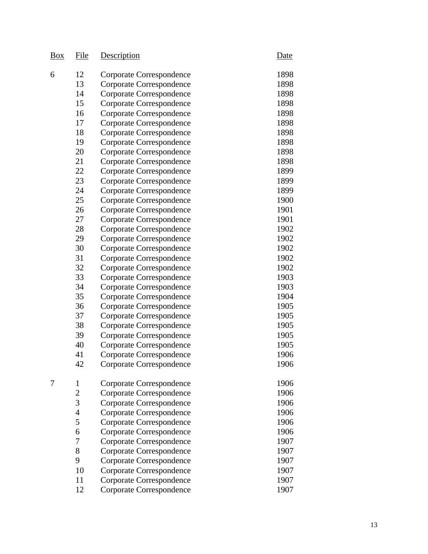| <u>Box</u> | File             | Description                     | Date |
|------------|------------------|---------------------------------|------|
| 6          | 12               | Corporate Correspondence        | 1898 |
|            | 13               | Corporate Correspondence        | 1898 |
|            | 14               | Corporate Correspondence        | 1898 |
|            | 15               | Corporate Correspondence        | 1898 |
|            | 16               | Corporate Correspondence        | 1898 |
|            | 17               | Corporate Correspondence        | 1898 |
|            | 18               | Corporate Correspondence        | 1898 |
|            | 19               | Corporate Correspondence        | 1898 |
|            | 20               | Corporate Correspondence        | 1898 |
|            | 21               | Corporate Correspondence        | 1898 |
|            | 22               | Corporate Correspondence        | 1899 |
|            | 23               | Corporate Correspondence        | 1899 |
|            | 24               | <b>Corporate Correspondence</b> | 1899 |
|            | 25               | Corporate Correspondence        | 1900 |
|            | 26               | Corporate Correspondence        | 1901 |
|            | 27               | Corporate Correspondence        | 1901 |
|            | 28               | Corporate Correspondence        | 1902 |
|            | 29               | Corporate Correspondence        | 1902 |
|            | 30               | Corporate Correspondence        | 1902 |
|            | 31               | Corporate Correspondence        | 1902 |
|            | 32               | Corporate Correspondence        | 1902 |
|            | 33               | Corporate Correspondence        | 1903 |
|            | 34               | Corporate Correspondence        | 1903 |
|            | 35               | Corporate Correspondence        | 1904 |
|            | 36               | Corporate Correspondence        | 1905 |
|            | 37               | Corporate Correspondence        | 1905 |
|            | 38               | Corporate Correspondence        | 1905 |
|            | 39               | Corporate Correspondence        | 1905 |
|            | 40               | Corporate Correspondence        | 1905 |
|            | 41               | Corporate Correspondence        | 1906 |
|            | 42               | Corporate Correspondence        | 1906 |
| 7          | $\mathbf{1}$     | Corporate Correspondence        | 1906 |
|            | $\overline{c}$   | Corporate Correspondence        | 1906 |
|            | $\overline{3}$   | Corporate Correspondence        | 1906 |
|            | $\overline{4}$   | Corporate Correspondence        | 1906 |
|            | 5                | Corporate Correspondence        | 1906 |
|            | 6                | Corporate Correspondence        | 1906 |
|            | $\boldsymbol{7}$ | Corporate Correspondence        | 1907 |
|            | 8                | Corporate Correspondence        | 1907 |
|            | 9                | Corporate Correspondence        | 1907 |
|            | 10               | Corporate Correspondence        | 1907 |
|            | 11               | Corporate Correspondence        | 1907 |
|            | 12               | Corporate Correspondence        | 1907 |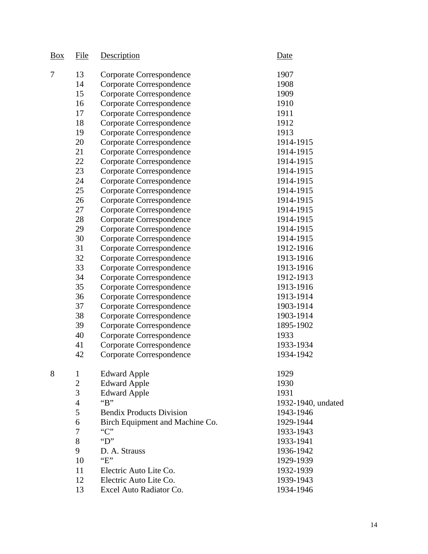| Box | <u>File</u>    | Description                     | Date               |
|-----|----------------|---------------------------------|--------------------|
| 7   | 13             | Corporate Correspondence        | 1907               |
|     | 14             | Corporate Correspondence        | 1908               |
|     | 15             | Corporate Correspondence        | 1909               |
|     | 16             | Corporate Correspondence        | 1910               |
|     | 17             | Corporate Correspondence        | 1911               |
|     | 18             | Corporate Correspondence        | 1912               |
|     | 19             | <b>Corporate Correspondence</b> | 1913               |
|     | 20             | Corporate Correspondence        | 1914-1915          |
|     | 21             | <b>Corporate Correspondence</b> | 1914-1915          |
|     | 22             | Corporate Correspondence        | 1914-1915          |
|     | 23             | Corporate Correspondence        | 1914-1915          |
|     | 24             | <b>Corporate Correspondence</b> | 1914-1915          |
|     | 25             | <b>Corporate Correspondence</b> | 1914-1915          |
|     | 26             | Corporate Correspondence        | 1914-1915          |
|     | 27             | Corporate Correspondence        | 1914-1915          |
|     | 28             | Corporate Correspondence        | 1914-1915          |
|     | 29             | Corporate Correspondence        | 1914-1915          |
|     | 30             | Corporate Correspondence        | 1914-1915          |
|     | 31             | Corporate Correspondence        | 1912-1916          |
|     | 32             | Corporate Correspondence        | 1913-1916          |
|     | 33             | Corporate Correspondence        | 1913-1916          |
|     | 34             | <b>Corporate Correspondence</b> | 1912-1913          |
|     | 35             | Corporate Correspondence        | 1913-1916          |
|     | 36             | Corporate Correspondence        | 1913-1914          |
|     | 37             | Corporate Correspondence        | 1903-1914          |
|     | 38             | Corporate Correspondence        | 1903-1914          |
|     | 39             | <b>Corporate Correspondence</b> | 1895-1902          |
|     | 40             | Corporate Correspondence        | 1933               |
|     | 41             | Corporate Correspondence        | 1933-1934          |
|     | 42             | Corporate Correspondence        | 1934-1942          |
| 8   | $\mathbf{1}$   | <b>Edward Apple</b>             | 1929               |
|     | $\overline{c}$ | <b>Edward Apple</b>             | 1930               |
|     | 3              | <b>Edward Apple</b>             | 1931               |
|     | 4              | $B$ "                           | 1932-1940, undated |
|     | 5              | <b>Bendix Products Division</b> | 1943-1946          |
|     | 6              | Birch Equipment and Machine Co. | 1929-1944          |
|     | 7              | C                               | 1933-1943          |
|     | 8              | $\mathbf{``D''}$                | 1933-1941          |
|     | 9              | D. A. Strauss                   | 1936-1942          |
|     | 10             | E                               | 1929-1939          |
|     | 11             | Electric Auto Lite Co.          | 1932-1939          |
|     | 12             | Electric Auto Lite Co.          | 1939-1943          |
|     | 13             | Excel Auto Radiator Co.         | 1934-1946          |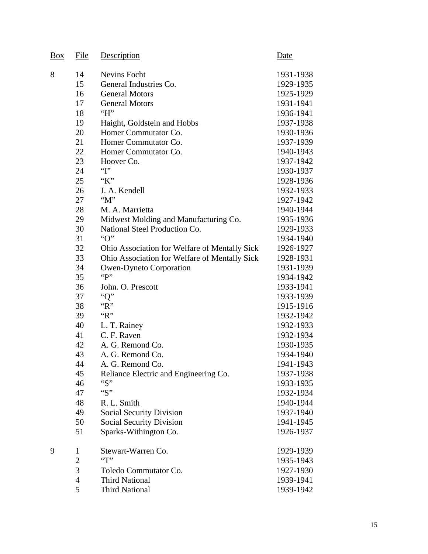| Box | File           | Description                                   | Date      |
|-----|----------------|-----------------------------------------------|-----------|
| 8   | 14             | <b>Nevins Focht</b>                           | 1931-1938 |
|     | 15             | General Industries Co.                        | 1929-1935 |
|     | 16             | <b>General Motors</b>                         | 1925-1929 |
|     | 17             | <b>General Motors</b>                         | 1931-1941 |
|     | 18             | H                                             | 1936-1941 |
|     | 19             | Haight, Goldstein and Hobbs                   | 1937-1938 |
|     | 20             | Homer Commutator Co.                          | 1930-1936 |
|     | 21             | Homer Commutator Co.                          | 1937-1939 |
|     | 22             | Homer Commutator Co.                          | 1940-1943 |
|     | 23             | Hoover Co.                                    | 1937-1942 |
|     | 24             | $~^{G}$                                       | 1930-1937 |
|     | 25             | "K"                                           | 1928-1936 |
|     | 26             | J. A. Kendell                                 | 1932-1933 |
|     | 27             | " $M$ "                                       | 1927-1942 |
|     | 28             | M. A. Marrietta                               | 1940-1944 |
|     | 29             | Midwest Molding and Manufacturing Co.         | 1935-1936 |
|     | 30             | National Steel Production Co.                 | 1929-1933 |
|     | 31             | "O"                                           | 1934-1940 |
|     | 32             | Ohio Association for Welfare of Mentally Sick | 1926-1927 |
|     | 33             | Ohio Association for Welfare of Mentally Sick | 1928-1931 |
|     | 34             | <b>Owen-Dyneto Corporation</b>                | 1931-1939 |
|     | 35             | "P"                                           | 1934-1942 |
|     | 36             | John. O. Prescott                             | 1933-1941 |
|     | 37             | "Q"                                           | 1933-1939 |
|     | 38             | R                                             | 1915-1916 |
|     | 39             | " $R$ "                                       | 1932-1942 |
|     | 40             | L. T. Rainey                                  | 1932-1933 |
|     | 41             | C. F. Raven                                   | 1932-1934 |
|     | 42             | A. G. Remond Co.                              | 1930-1935 |
|     | 43             | A. G. Remond Co.                              | 1934-1940 |
|     | 44             | A. G. Remond Co.                              | 1941-1943 |
|     | 45             | Reliance Electric and Engineering Co.         | 1937-1938 |
|     | 46             | ``S"                                          | 1933-1935 |
|     | 47             | ``S"                                          | 1932-1934 |
|     | 48             | R. L. Smith                                   | 1940-1944 |
|     | 49             | <b>Social Security Division</b>               | 1937-1940 |
|     | 50             | <b>Social Security Division</b>               | 1941-1945 |
|     | 51             | Sparks-Withington Co.                         | 1926-1937 |
| 9   | $\mathbf{1}$   | Stewart-Warren Co.                            | 1929-1939 |
|     | $\overline{2}$ | $\lq\lq$                                      | 1935-1943 |
|     | 3              | Toledo Commutator Co.                         | 1927-1930 |
|     | $\overline{4}$ | <b>Third National</b>                         | 1939-1941 |
|     | 5              | <b>Third National</b>                         | 1939-1942 |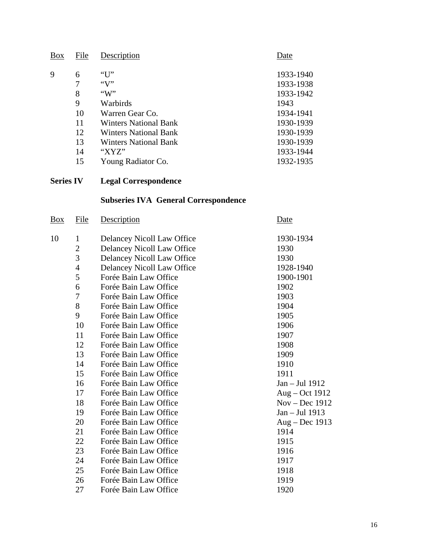| Box | File | Description                  | Date      |
|-----|------|------------------------------|-----------|
| Q   | 6    |                              | 1933-1940 |
|     |      |                              | 1933-1938 |
|     | 8    | $\lq\lq W$                   | 1933-1942 |
|     | 9    | Warbirds                     | 1943      |
|     | 10   | Warren Gear Co.              | 1934-1941 |
|     | 11   | <b>Winters National Bank</b> | 1930-1939 |
|     | 12   | <b>Winters National Bank</b> | 1930-1939 |
|     | 13   | <b>Winters National Bank</b> | 1930-1939 |
|     | 14   | "XYZ"                        | 1933-1944 |
|     | 15   | Young Radiator Co.           | 1932-1935 |

# **Series IV Legal Correspondence**

# **Subseries IVA General Correspondence**

| <u>Box</u> | <u>File</u>    | <b>Description</b>         | <b>Date</b>      |
|------------|----------------|----------------------------|------------------|
| 10         | $\mathbf{1}$   | Delancey Nicoll Law Office | 1930-1934        |
|            | $\overline{2}$ | Delancey Nicoll Law Office | 1930             |
|            | 3              | Delancey Nicoll Law Office | 1930             |
|            | $\overline{4}$ | Delancey Nicoll Law Office | 1928-1940        |
|            | 5              | Forée Bain Law Office      | 1900-1901        |
|            | 6              | Forée Bain Law Office      | 1902             |
|            | 7              | Forée Bain Law Office      | 1903             |
|            | 8              | Forée Bain Law Office      | 1904             |
|            | 9              | Forée Bain Law Office      | 1905             |
|            | 10             | Forée Bain Law Office      | 1906             |
|            | 11             | Forée Bain Law Office      | 1907             |
|            | 12             | Forée Bain Law Office      | 1908             |
|            | 13             | Forée Bain Law Office      | 1909             |
|            | 14             | Forée Bain Law Office      | 1910             |
|            | 15             | Forée Bain Law Office      | 1911             |
|            | 16             | Forée Bain Law Office      | Jan - Jul 1912   |
|            | 17             | Forée Bain Law Office      | $Aug - Oct 1912$ |
|            | 18             | Forée Bain Law Office      | $Nov - Dec 1912$ |
|            | 19             | Forée Bain Law Office      | Jan – Jul 1913   |
|            | 20             | Forée Bain Law Office      | $Aug - Dec 1913$ |
|            | 21             | Forée Bain Law Office      | 1914             |
|            | 22             | Forée Bain Law Office      | 1915             |
|            | 23             | Forée Bain Law Office      | 1916             |
|            | 24             | Forée Bain Law Office      | 1917             |
|            | 25             | Forée Bain Law Office      | 1918             |
|            | 26             | Forée Bain Law Office      | 1919             |
|            | 27             | Forée Bain Law Office      | 1920             |
|            |                |                            |                  |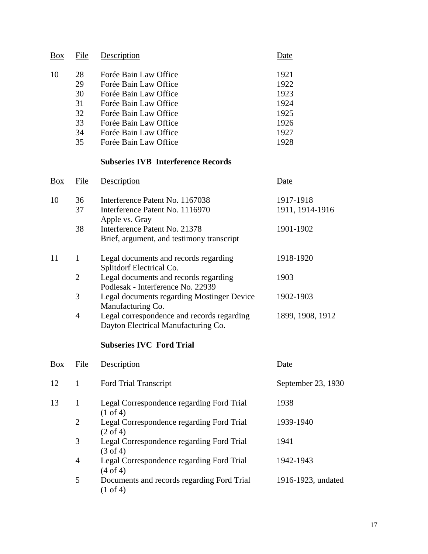| <b>Box</b>     | File                                         | Description                                                                                                                                                                                          | Date                                                         |
|----------------|----------------------------------------------|------------------------------------------------------------------------------------------------------------------------------------------------------------------------------------------------------|--------------------------------------------------------------|
| 10             | 28<br>29<br>30<br>31<br>32<br>33<br>34<br>35 | Forée Bain Law Office<br>Forée Bain Law Office<br>Forée Bain Law Office<br>Forée Bain Law Office<br>Forée Bain Law Office<br>Forée Bain Law Office<br>Forée Bain Law Office<br>Forée Bain Law Office | 1921<br>1922<br>1923<br>1924<br>1925<br>1926<br>1927<br>1928 |
|                |                                              | <b>Subseries IVB Interference Records</b>                                                                                                                                                            |                                                              |
| $\frac{Box}{}$ | File                                         | Description                                                                                                                                                                                          | <u>Date</u>                                                  |
| 10             | 36<br>37<br>38                               | Interference Patent No. 1167038<br>Interference Patent No. 1116970<br>Apple vs. Gray<br>Interference Patent No. 21378<br>Brief, argument, and testimony transcript                                   | 1917-1918<br>1911, 1914-1916<br>1901-1902                    |
| 11             | $\mathbf{1}$                                 | Legal documents and records regarding                                                                                                                                                                | 1918-1920                                                    |
|                | $\overline{2}$<br>3                          | Splitdorf Electrical Co.<br>Legal documents and records regarding<br>Podlesak - Interference No. 22939<br>Legal documents regarding Mostinger Device                                                 | 1903<br>1902-1903                                            |
|                | $\overline{4}$                               | Manufacturing Co.<br>Legal correspondence and records regarding<br>Dayton Electrical Manufacturing Co.                                                                                               | 1899, 1908, 1912                                             |
|                |                                              | <b>Subseries IVC Ford Trial</b>                                                                                                                                                                      |                                                              |
| Box            | <u>File</u>                                  | Description                                                                                                                                                                                          | Date                                                         |
| 12             | $\mathbf{1}$                                 | Ford Trial Transcript                                                                                                                                                                                | September 23, 1930                                           |
| 13             | $\mathbf{1}$                                 | Legal Correspondence regarding Ford Trial<br>$(1 \text{ of } 4)$                                                                                                                                     | 1938                                                         |
|                | $\overline{2}$                               | Legal Correspondence regarding Ford Trial<br>$(2 \text{ of } 4)$                                                                                                                                     | 1939-1940                                                    |
|                | 3                                            | Legal Correspondence regarding Ford Trial<br>$(3 \text{ of } 4)$                                                                                                                                     | 1941                                                         |
|                | $\overline{4}$                               | Legal Correspondence regarding Ford Trial<br>(4 of 4)                                                                                                                                                | 1942-1943                                                    |
|                | 5                                            | Documents and records regarding Ford Trial<br>$(1 \text{ of } 4)$                                                                                                                                    | 1916-1923, undated                                           |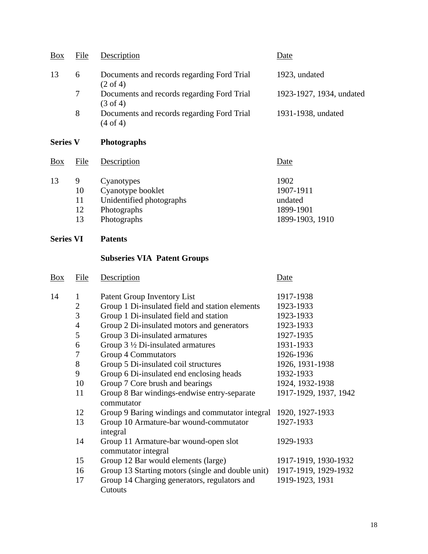| Box | File | Description                                                       | Date                     |
|-----|------|-------------------------------------------------------------------|--------------------------|
| 13  | 6    | Documents and records regarding Ford Trial<br>$(2 \text{ of } 4)$ | 1923, undated            |
|     | 7    | Documents and records regarding Ford Trial<br>$(3 \text{ of } 4)$ | 1923-1927, 1934, undated |
|     | 8    | Documents and records regarding Ford Trial<br>$(4 \text{ of } 4)$ | 1931-1938, undated       |

# **Series V Photographs**

| Box | File | Description              | Date            |
|-----|------|--------------------------|-----------------|
| 13  | 9    | Cyanotypes               | 1902            |
|     | 10   | Cyanotype booklet        | 1907-1911       |
|     | 11   | Unidentified photographs | undated         |
|     | 12   | Photographs              | 1899-1901       |
|     | 13   | Photographs              | 1899-1903, 1910 |

# **Series VI Patents**

# **Subseries VIA Patent Groups**

| $\frac{Box}{}$ | File           | Description                                                  | Date                  |
|----------------|----------------|--------------------------------------------------------------|-----------------------|
| 14             | 1              | Patent Group Inventory List                                  | 1917-1938             |
|                | $\overline{2}$ | Group 1 Di-insulated field and station elements              | 1923-1933             |
|                | 3              | Group 1 Di-insulated field and station                       | 1923-1933             |
|                | $\overline{4}$ | Group 2 Di-insulated motors and generators                   | 1923-1933             |
|                | 5              | Group 3 Di-insulated armatures                               | 1927-1935             |
|                | 6              | Group $3\frac{1}{2}$ Di-insulated armatures                  | 1931-1933             |
|                | 7              | <b>Group 4 Commutators</b>                                   | 1926-1936             |
|                | 8              | Group 5 Di-insulated coil structures                         | 1926, 1931-1938       |
|                | 9              | Group 6 Di-insulated end enclosing heads                     | 1932-1933             |
|                | 10             | Group 7 Core brush and bearings                              | 1924, 1932-1938       |
|                | 11             | Group 8 Bar windings-endwise entry-separate<br>commutator    | 1917-1929, 1937, 1942 |
|                | 12             | Group 9 Baring windings and commutator integral              | 1920, 1927-1933       |
|                | 13             | Group 10 Armature-bar wound-commutator<br>integral           | 1927-1933             |
|                | 14             | Group 11 Armature-bar wound-open slot<br>commutator integral | 1929-1933             |
|                | 15             | Group 12 Bar would elements (large)                          | 1917-1919, 1930-1932  |
|                | 16             | Group 13 Starting motors (single and double unit)            | 1917-1919, 1929-1932  |
|                | 17             | Group 14 Charging generators, regulators and<br>Cutouts      | 1919-1923, 1931       |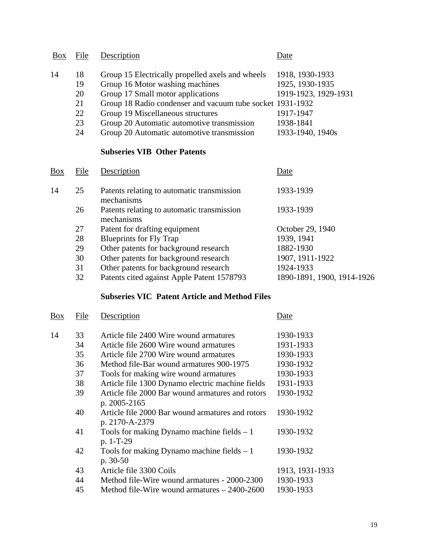| <b>Box</b> | File | Description                                               | Date                 |
|------------|------|-----------------------------------------------------------|----------------------|
| 14         | 18   | Group 15 Electrically propelled axels and wheels          | 1918, 1930-1933      |
|            | 19   | Group 16 Motor washing machines                           | 1925, 1930-1935      |
|            | 20   | Group 17 Small motor applications                         | 1919-1923, 1929-1931 |
|            | 21   | Group 18 Radio condenser and vacuum tube socket 1931-1932 |                      |
|            | 22   | Group 19 Miscellaneous structures                         | 1917-1947            |
|            | 23   | Group 20 Automatic automotive transmission                | 1938-1841            |
|            | 24   | Group 20 Automatic automotive transmission                | 1933-1940, 1940s     |

# **Subseries VIB Other Patents**

| <b>Box</b> | File | Description                                              | Date                       |
|------------|------|----------------------------------------------------------|----------------------------|
| 14         | 25   | Patents relating to automatic transmission<br>mechanisms | 1933-1939                  |
|            | 26   | Patents relating to automatic transmission<br>mechanisms | 1933-1939                  |
|            | 27   | Patent for drafting equipment                            | October 29, 1940           |
|            | 28   | <b>Blueprints for Fly Trap</b>                           | 1939, 1941                 |
|            | 29   | Other patents for background research                    | 1882-1930                  |
|            | 30   | Other patents for background research                    | 1907, 1911-1922            |
|            | 31   | Other patents for background research                    | 1924-1933                  |
|            | 32   | Patents cited against Apple Patent 1578793               | 1890-1891, 1900, 1914-1926 |

# **Subseries VIC Patent Article and Method Files**

| <b>Box</b> | File | Description                                      | Date            |
|------------|------|--------------------------------------------------|-----------------|
| 14         | 33   | Article file 2400 Wire wound armatures           | 1930-1933       |
|            | 34   | Article file 2600 Wire wound armatures           | 1931-1933       |
|            | 35   | Article file 2700 Wire wound armatures           | 1930-1933       |
|            | 36   | Method file-Bar wound armatures 900-1975         | 1930-1932       |
|            | 37   | Tools for making wire wound armatures            | 1930-1933       |
|            | 38   | Article file 1300 Dynamo electric machine fields | 1931-1933       |
|            | 39   | Article file 2000 Bar wound armatures and rotors | 1930-1932       |
|            |      | p. 2005-2165                                     |                 |
|            | 40   | Article file 2000 Bar wound armatures and rotors | 1930-1932       |
|            |      | p. 2170-A-2379                                   |                 |
|            | 41   | Tools for making Dynamo machine fields $-1$      | 1930-1932       |
|            |      | p. 1-T-29                                        |                 |
|            | 42   | Tools for making Dynamo machine fields $-1$      | 1930-1932       |
|            |      | p. 30-50                                         |                 |
|            | 43   | Article file 3300 Coils                          | 1913, 1931-1933 |
|            | 44   | Method file-Wire wound armatures - 2000-2300     | 1930-1933       |
|            | 45   | Method file-Wire wound armatures $-2400-2600$    | 1930-1933       |
|            |      |                                                  |                 |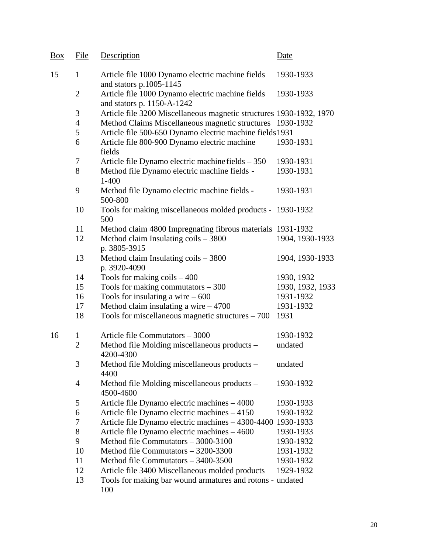| Box | File           | Description                                                                    | Date             |
|-----|----------------|--------------------------------------------------------------------------------|------------------|
| 15  | $\mathbf{1}$   | Article file 1000 Dynamo electric machine fields<br>and stators p.1005-1145    | 1930-1933        |
|     | $\overline{2}$ | Article file 1000 Dynamo electric machine fields<br>and stators p. 1150-A-1242 | 1930-1933        |
|     | 3              | Article file 3200 Miscellaneous magnetic structures 1930-1932, 1970            |                  |
|     | $\overline{4}$ | Method Claims Miscellaneous magnetic structures 1930-1932                      |                  |
|     | 5              | Article file 500-650 Dynamo electric machine fields 1931                       |                  |
|     | 6              | Article file 800-900 Dynamo electric machine<br>fields                         | 1930-1931        |
|     | 7              | Article file Dynamo electric machine fields - 350                              | 1930-1931        |
|     | 8              | Method file Dynamo electric machine fields -<br>$1 - 400$                      | 1930-1931        |
|     | 9              | Method file Dynamo electric machine fields -<br>500-800                        | 1930-1931        |
|     | 10             | Tools for making miscellaneous molded products - 1930-1932<br>500              |                  |
|     | 11             | Method claim 4800 Impregnating fibrous materials 1931-1932                     |                  |
|     | 12             | Method claim Insulating coils - 3800<br>p. 3805-3915                           | 1904, 1930-1933  |
|     | 13             | Method claim Insulating $\cosh - 3800$<br>p. 3920-4090                         | 1904, 1930-1933  |
|     | 14             | Tools for making $\text{coils} - 400$                                          | 1930, 1932       |
|     | 15             | Tools for making commutators $-300$                                            | 1930, 1932, 1933 |
|     | 16             | Tools for insulating a wire $-600$                                             | 1931-1932        |
|     | 17             | Method claim insulating a wire $-4700$                                         | 1931-1932        |
|     | 18             | Tools for miscellaneous magnetic structures $-700$                             | 1931             |
| 16  | $\mathbf{1}$   | Article file Commutators - 3000                                                | 1930-1932        |
|     | $\overline{2}$ | Method file Molding miscellaneous products –<br>4200-4300                      | undated          |
|     | 3              | Method file Molding miscellaneous products –<br>4400                           | undated          |
|     | $\overline{4}$ | Method file Molding miscellaneous products -<br>4500-4600                      | 1930-1932        |
|     | 5              | Article file Dynamo electric machines - 4000                                   | 1930-1933        |
|     | 6              | Article file Dynamo electric machines – 4150                                   | 1930-1932        |
|     | 7              | Article file Dynamo electric machines - 4300-4400 1930-1933                    |                  |
|     | 8              | Article file Dynamo electric machines - 4600                                   | 1930-1933        |
|     | 9              | Method file Commutators - 3000-3100                                            | 1930-1932        |
|     | 10             | Method file Commutators - 3200-3300                                            | 1931-1932        |
|     | 11             | Method file Commutators - 3400-3500                                            | 1930-1932        |
|     | 12             | Article file 3400 Miscellaneous molded products                                | 1929-1932        |
|     | 13             | Tools for making bar wound armatures and rotons - undated<br>100               |                  |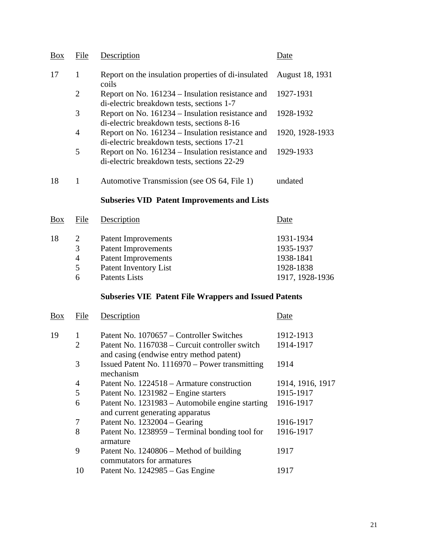| <b>Box</b> | File           | Description                                                                                     | )ate                   |
|------------|----------------|-------------------------------------------------------------------------------------------------|------------------------|
| 17         |                | Report on the insulation properties of di-insulated<br>coils                                    | <b>August 18, 1931</b> |
|            | $\overline{2}$ | Report on No. 161234 – Insulation resistance and<br>di-electric breakdown tests, sections 1-7   | 1927-1931              |
|            | 3              | Report on No. 161234 – Insulation resistance and<br>di-electric breakdown tests, sections 8-16  | 1928-1932              |
|            | 4              | Report on No. 161234 – Insulation resistance and<br>di-electric breakdown tests, sections 17-21 | 1920, 1928-1933        |
|            | 5              | Report on No. 161234 – Insulation resistance and<br>di-electric breakdown tests, sections 22-29 | 1929-1933              |
| 18         |                | Automotive Transmission (see OS 64, File 1)                                                     | undated                |

## **Subseries VID Patent Improvements and Lists**

| Box | File           | Description                  | Date            |
|-----|----------------|------------------------------|-----------------|
| 18  | 2              | <b>Patent Improvements</b>   | 1931-1934       |
|     | 3              | <b>Patent Improvements</b>   | 1935-1937       |
|     | $\overline{4}$ | <b>Patent Improvements</b>   | 1938-1841       |
|     | 5              | <b>Patent Inventory List</b> | 1928-1838       |
|     | h              | <b>Patents Lists</b>         | 1917, 1928-1936 |
|     |                |                              |                 |

# **Subseries VIE Patent File Wrappers and Issued Patents**

| <b>Box</b> | File           | Description                                                                                | Date             |
|------------|----------------|--------------------------------------------------------------------------------------------|------------------|
| 19         | 1              | Patent No. 1070657 – Controller Switches                                                   | 1912-1913        |
|            | $\overline{2}$ | Patent No. 1167038 – Curcuit controller switch<br>and casing (endwise entry method patent) | 1914-1917        |
|            | 3              | Issued Patent No. 1116970 – Power transmitting<br>mechanism                                | 1914             |
|            | $\overline{4}$ | Patent No. 1224518 – Armature construction                                                 | 1914, 1916, 1917 |
|            | 5              | Patent No. 1231982 – Engine starters                                                       | 1915-1917        |
|            | 6              | Patent No. 1231983 – Automobile engine starting<br>and current generating apparatus        | 1916-1917        |
|            | 7              | Patent No. $1232004 - Gearing$                                                             | 1916-1917        |
|            | 8              | Patent No. 1238959 – Terminal bonding tool for<br>armature                                 | 1916-1917        |
|            | 9              | Patent No. $1240806$ – Method of building<br>commutators for armatures                     | 1917             |
|            | 10             | Patent No. 1242985 – Gas Engine                                                            | 1917             |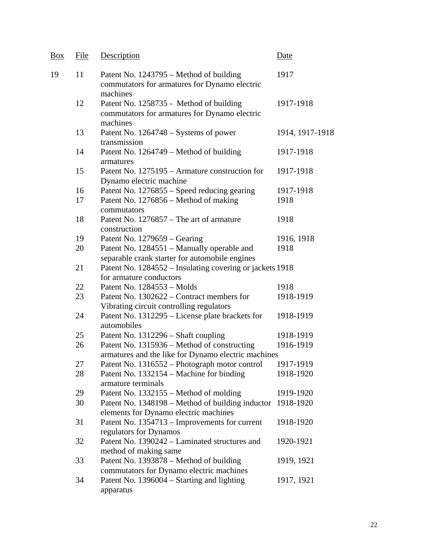| Box | File                                                | Description                                                                                          | Date            |  |  |
|-----|-----------------------------------------------------|------------------------------------------------------------------------------------------------------|-----------------|--|--|
| 19  | 11                                                  | Patent No. 1243795 – Method of building<br>commutators for armatures for Dynamo electric<br>machines | 1917            |  |  |
|     | 12                                                  | Patent No. 1258735 - Method of building<br>commutators for armatures for Dynamo electric<br>machines | 1917-1918       |  |  |
|     | 13                                                  | Patent No. 1264748 – Systems of power<br>transmission                                                | 1914, 1917-1918 |  |  |
|     | 14                                                  | Patent No. 1264749 – Method of building<br>armatures                                                 | 1917-1918       |  |  |
|     | 15                                                  | Patent No. 1275195 – Armature construction for<br>Dynamo electric machine                            | 1917-1918       |  |  |
|     | 16                                                  | Patent No. 1276855 – Speed reducing gearing                                                          | 1917-1918       |  |  |
|     | 17                                                  | Patent No. 1276856 - Method of making                                                                | 1918            |  |  |
|     |                                                     | commutators                                                                                          |                 |  |  |
|     | 18                                                  | Patent No. 1276857 – The art of armature<br>construction                                             | 1918            |  |  |
|     | 19                                                  | Patent No. 1279659 – Gearing                                                                         | 1916, 1918      |  |  |
|     | 20                                                  | Patent No. 1284551 - Manually operable and                                                           | 1918            |  |  |
|     |                                                     | separable crank starter for automobile engines                                                       |                 |  |  |
|     | 21                                                  |                                                                                                      |                 |  |  |
|     |                                                     | Patent No. 1284552 - Insulating covering or jackets 1918                                             |                 |  |  |
|     |                                                     | for armature conductors                                                                              |                 |  |  |
|     | 22                                                  | Patent No. 1284553 - Molds                                                                           | 1918            |  |  |
|     | 23                                                  | Patent No. 1302622 – Contract members for                                                            | 1918-1919       |  |  |
|     |                                                     | Vibrating circuit controlling regulators                                                             |                 |  |  |
|     | 24                                                  | Patent No. 1312295 – License plate brackets for<br>automobiles                                       | 1918-1919       |  |  |
|     | 25                                                  | Patent No. 1312296 – Shaft coupling                                                                  | 1918-1919       |  |  |
|     | 26                                                  | Patent No. 1315936 – Method of constructing                                                          | 1916-1919       |  |  |
|     | armatures and the like for Dynamo electric machines |                                                                                                      |                 |  |  |
|     | 27                                                  | Patent No. 1316552 – Photograph motor control                                                        | 1917-1919       |  |  |
|     | 28                                                  | Patent No. 1332154 – Machine for binding                                                             | 1918-1920       |  |  |
|     |                                                     | armature terminals                                                                                   |                 |  |  |
|     | 29                                                  | Patent No. 1332155 – Method of molding                                                               | 1919-1920       |  |  |
|     | 30                                                  | Patent No. 1348198 – Method of building inductor                                                     | 1918-1920       |  |  |
|     |                                                     | elements for Dynamo electric machines                                                                |                 |  |  |
|     | 31                                                  | Patent No. 1354713 – Improvements for current                                                        | 1918-1920       |  |  |
|     |                                                     | regulators for Dynamos                                                                               |                 |  |  |
|     |                                                     | Patent No. 1390242 – Laminated structures and                                                        |                 |  |  |
|     | 32                                                  |                                                                                                      | 1920-1921       |  |  |
|     |                                                     | method of making same                                                                                |                 |  |  |
|     | 33                                                  | Patent No. 1393878 – Method of building                                                              | 1919, 1921      |  |  |
|     |                                                     | commutators for Dynamo electric machines                                                             |                 |  |  |
|     | 34                                                  | Patent No. 1396004 – Starting and lighting<br>apparatus                                              | 1917, 1921      |  |  |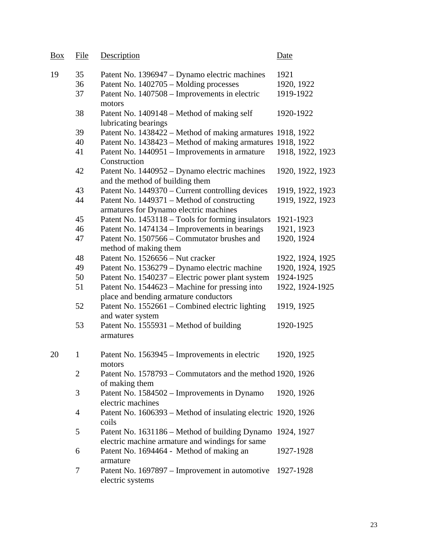| <b>Box</b> | File           | Description                                                                                                  | Date             |
|------------|----------------|--------------------------------------------------------------------------------------------------------------|------------------|
| 19         | 35             | Patent No. 1396947 – Dynamo electric machines                                                                | 1921             |
|            | 36             | Patent No. 1402705 - Molding processes                                                                       | 1920, 1922       |
|            | 37             | Patent No. 1407508 – Improvements in electric<br>motors                                                      | 1919-1922        |
|            | 38             | Patent No. 1409148 – Method of making self<br>lubricating bearings                                           | 1920-1922        |
|            | 39             | Patent No. 1438422 – Method of making armatures 1918, 1922                                                   |                  |
|            | 40             | Patent No. 1438423 - Method of making armatures 1918, 1922                                                   |                  |
|            | 41             | Patent No. 1440951 – Improvements in armature<br>Construction                                                | 1918, 1922, 1923 |
|            | 42             | Patent No. 1440952 – Dynamo electric machines<br>and the method of building them                             | 1920, 1922, 1923 |
|            | 43             | Patent No. 1449370 – Current controlling devices                                                             | 1919, 1922, 1923 |
|            | 44             | Patent No. 1449371 – Method of constructing<br>armatures for Dynamo electric machines                        | 1919, 1922, 1923 |
|            | 45             | Patent No. 1453118 - Tools for forming insulators                                                            | 1921-1923        |
|            | 46             | Patent No. 1474134 – Improvements in bearings                                                                | 1921, 1923       |
|            | 47             | Patent No. 1507566 - Commutator brushes and<br>method of making them                                         | 1920, 1924       |
|            | 48             | Patent No. 1526656 – Nut cracker                                                                             | 1922, 1924, 1925 |
|            | 49             | Patent No. 1536279 - Dynamo electric machine                                                                 | 1920, 1924, 1925 |
|            | 50             | Patent No. 1540237 - Electric power plant system                                                             | 1924-1925        |
|            | 51             | Patent No. 1544623 – Machine for pressing into<br>place and bending armature conductors                      | 1922, 1924-1925  |
|            | 52             | Patent No. 1552661 – Combined electric lighting<br>and water system                                          | 1919, 1925       |
|            | 53             | Patent No. 1555931 – Method of building<br>armatures                                                         | 1920-1925        |
| 20         | 1              | Patent No. 1563945 – Improvements in electric<br>motors                                                      | 1920, 1925       |
|            | $\overline{2}$ | Patent No. 1578793 - Commutators and the method 1920, 1926<br>of making them                                 |                  |
|            | 3              | Patent No. 1584502 - Improvements in Dynamo<br>electric machines                                             | 1920, 1926       |
|            | 4              | Patent No. 1606393 – Method of insulating electric 1920, 1926<br>coils                                       |                  |
|            | 5              | Patent No. 1631186 – Method of building Dynamo 1924, 1927<br>electric machine armature and windings for same |                  |
|            | 6              | Patent No. 1694464 - Method of making an<br>armature                                                         | 1927-1928        |
|            | 7              | Patent No. 1697897 – Improvement in automotive<br>electric systems                                           | 1927-1928        |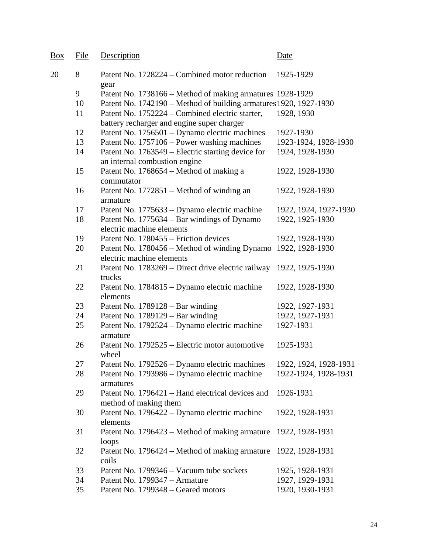| Box | File | Description                                                                                   | Date                  |
|-----|------|-----------------------------------------------------------------------------------------------|-----------------------|
| 20  | 8    | Patent No. 1728224 – Combined motor reduction<br>gear                                         | 1925-1929             |
|     | 9    | Patent No. 1738166 – Method of making armatures 1928-1929                                     |                       |
|     | 10   | Patent No. 1742190 – Method of building armatures 1920, 1927-1930                             |                       |
|     | 11   | Patent No. 1752224 – Combined electric starter,<br>battery recharger and engine super charger | 1928, 1930            |
|     | 12   | Patent No. 1756501 - Dynamo electric machines                                                 | 1927-1930             |
|     | 13   | Patent No. 1757106 – Power washing machines                                                   | 1923-1924, 1928-1930  |
|     | 14   | Patent No. 1763549 – Electric starting device for<br>an internal combustion engine            | 1924, 1928-1930       |
|     | 15   | Patent No. 1768654 - Method of making a<br>commutator                                         | 1922, 1928-1930       |
|     | 16   | Patent No. 1772851 – Method of winding an<br>armature                                         | 1922, 1928-1930       |
|     | 17   | Patent No. 1775633 – Dynamo electric machine                                                  | 1922, 1924, 1927-1930 |
|     | 18   | Patent No. 1775634 – Bar windings of Dynamo<br>electric machine elements                      | 1922, 1925-1930       |
|     | 19   | Patent No. 1780455 – Friction devices                                                         | 1922, 1928-1930       |
|     | 20   | Patent No. 1780456 – Method of winding Dynamo<br>electric machine elements                    | 1922, 1928-1930       |
|     | 21   | Patent No. 1783269 – Direct drive electric railway<br>trucks                                  | 1922, 1925-1930       |
|     | 22   | Patent No. 1784815 – Dynamo electric machine<br>elements                                      | 1922, 1928-1930       |
|     | 23   | Patent No. $1789128 - Bar$ winding                                                            | 1922, 1927-1931       |
|     | 24   | Patent No. $1789129 - Bar$ winding                                                            | 1922, 1927-1931       |
|     | 25   | Patent No. 1792524 - Dynamo electric machine<br>armature                                      | 1927-1931             |
|     | 26   | Patent No. 1792525 – Electric motor automotive<br>wheel                                       | 1925-1931             |
|     | 27   | Patent No. 1792526 – Dynamo electric machines                                                 | 1922, 1924, 1928-1931 |
|     | 28   | Patent No. 1793986 – Dynamo electric machine<br>armatures                                     | 1922-1924, 1928-1931  |
|     | 29   | Patent No. 1796421 – Hand electrical devices and<br>method of making them                     | 1926-1931             |
|     | 30   | Patent No. 1796422 – Dynamo electric machine<br>elements                                      | 1922, 1928-1931       |
|     | 31   | Patent No. 1796423 – Method of making armature<br>loops                                       | 1922, 1928-1931       |
|     | 32   | Patent No. 1796424 – Method of making armature<br>coils                                       | 1922, 1928-1931       |
|     | 33   | Patent No. 1799346 – Vacuum tube sockets                                                      | 1925, 1928-1931       |
|     | 34   | Patent No. 1799347 - Armature                                                                 | 1927, 1929-1931       |
|     | 35   | Patent No. 1799348 – Geared motors                                                            | 1920, 1930-1931       |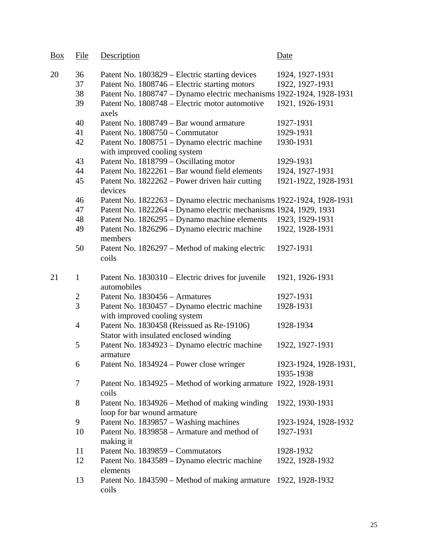| <b>Box</b> | File           | Description                                                                         | Date                               |
|------------|----------------|-------------------------------------------------------------------------------------|------------------------------------|
| 20         | 36             | Patent No. 1803829 – Electric starting devices                                      | 1924, 1927-1931                    |
|            | 37             | Patent No. 1808746 – Electric starting motors                                       | 1922, 1927-1931                    |
|            | 38             | Patent No. 1808747 – Dynamo electric mechanisms 1922-1924, 1928-1931                |                                    |
|            | 39             | Patent No. 1808748 - Electric motor automotive<br>axels                             | 1921, 1926-1931                    |
|            | 40             | Patent No. 1808749 – Bar wound armature                                             | 1927-1931                          |
|            | 41             | Patent No. 1808750 – Commutator                                                     | 1929-1931                          |
|            | 42             | Patent No. 1808751 – Dynamo electric machine                                        | 1930-1931                          |
|            |                | with improved cooling system                                                        |                                    |
|            | 43             | Patent No. 1818799 – Oscillating motor                                              | 1929-1931                          |
|            | 44             | Patent No. 1822261 - Bar wound field elements                                       | 1924, 1927-1931                    |
|            | 45             | Patent No. 1822262 – Power driven hair cutting<br>devices                           | 1921-1922, 1928-1931               |
|            | 46             | Patent No. 1822263 – Dynamo electric mechanisms 1922-1924, 1928-1931                |                                    |
|            | 47             | Patent No. 1822264 - Dynamo electric mechanisms 1924, 1929, 1931                    |                                    |
|            | 48             | Patent No. 1826295 – Dynamo machine elements                                        | 1923, 1929-1931                    |
|            | 49             | Patent No. 1826296 – Dynamo electric machine<br>members                             | 1922, 1928-1931                    |
|            | 50             | Patent No. 1826297 – Method of making electric<br>coils                             | 1927-1931                          |
| 21         | $\mathbf{1}$   | Patent No. 1830310 – Electric drives for juvenile<br>automobiles                    | 1921, 1926-1931                    |
|            | $\overline{2}$ | Patent No. 1830456 - Armatures                                                      | 1927-1931                          |
|            | 3              | Patent No. 1830457 – Dynamo electric machine<br>with improved cooling system        | 1928-1931                          |
|            | $\overline{4}$ | Patent No. 1830458 (Reissued as Re-19106)<br>Stator with insulated enclosed winding | 1928-1934                          |
|            | 5              | Patent No. 1834923 – Dynamo electric machine<br>armature                            | 1922, 1927-1931                    |
|            | 6              | Patent No. 1834924 – Power close wringer                                            | 1923-1924, 1928-1931,<br>1935-1938 |
|            | $\tau$         | Patent No. 1834925 – Method of working armature 1922, 1928-1931<br>coils            |                                    |
|            | 8              | Patent No. 1834926 – Method of making winding<br>loop for bar wound armature        | 1922, 1930-1931                    |
|            | 9              | Patent No. 1839857 – Washing machines                                               | 1923-1924, 1928-1932               |
|            | 10             | Patent No. 1839858 - Armature and method of<br>making it                            | 1927-1931                          |
|            | 11             | Patent No. 1839859 – Commutators                                                    | 1928-1932                          |
|            | 12             | Patent No. 1843589 – Dynamo electric machine<br>elements                            | 1922, 1928-1932                    |
|            | 13             | Patent No. 1843590 – Method of making armature 1922, 1928-1932<br>coils             |                                    |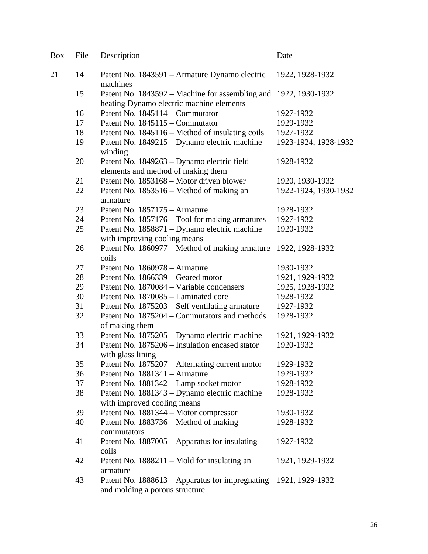| Box | File | Description                                                                                                 | Date                 |
|-----|------|-------------------------------------------------------------------------------------------------------------|----------------------|
| 21  | 14   | Patent No. 1843591 – Armature Dynamo electric<br>machines                                                   | 1922, 1928-1932      |
|     | 15   | Patent No. 1843592 – Machine for assembling and 1922, 1930-1932<br>heating Dynamo electric machine elements |                      |
|     | 16   | Patent No. 1845114 – Commutator                                                                             | 1927-1932            |
|     | 17   | Patent No. 1845115 – Commutator                                                                             | 1929-1932            |
|     | 18   | Patent No. 1845116 – Method of insulating coils                                                             | 1927-1932            |
|     | 19   | Patent No. 1849215 – Dynamo electric machine<br>winding                                                     | 1923-1924, 1928-1932 |
|     | 20   | Patent No. 1849263 – Dynamo electric field<br>elements and method of making them                            | 1928-1932            |
|     | 21   | Patent No. 1853168 - Motor driven blower                                                                    | 1920, 1930-1932      |
|     | 22   | Patent No. 1853516 – Method of making an<br>armature                                                        | 1922-1924, 1930-1932 |
|     | 23   | Patent No. 1857175 - Armature                                                                               | 1928-1932            |
|     | 24   | Patent No. 1857176 - Tool for making armatures                                                              | 1927-1932            |
|     | 25   | Patent No. 1858871 – Dynamo electric machine<br>with improving cooling means                                | 1920-1932            |
|     | 26   | Patent No. 1860977 - Method of making armature<br>coils                                                     | 1922, 1928-1932      |
|     | 27   | Patent No. 1860978 - Armature                                                                               | 1930-1932            |
|     | 28   | Patent No. 1866339 - Geared motor                                                                           | 1921, 1929-1932      |
|     | 29   | Patent No. 1870084 – Variable condensers                                                                    | 1925, 1928-1932      |
|     | 30   | Patent No. 1870085 – Laminated core                                                                         | 1928-1932            |
|     | 31   | Patent No. 1875203 – Self ventilating armature                                                              | 1927-1932            |
|     | 32   | Patent No. 1875204 – Commutators and methods<br>of making them                                              | 1928-1932            |
|     | 33   | Patent No. 1875205 - Dynamo electric machine                                                                | 1921, 1929-1932      |
|     | 34   | Patent No. 1875206 – Insulation encased stator<br>with glass lining                                         | 1920-1932            |
|     | 35   | Patent No. 1875207 – Alternating current motor                                                              | 1929-1932            |
|     | 36   | Patent No. 1881341 - Armature                                                                               | 1929-1932            |
|     | 37   | Patent No. 1881342 - Lamp socket motor                                                                      | 1928-1932            |
|     | 38   | Patent No. 1881343 - Dynamo electric machine<br>with improved cooling means                                 | 1928-1932            |
|     | 39   | Patent No. 1881344 - Motor compressor                                                                       | 1930-1932            |
|     | 40   | Patent No. 1883736 – Method of making<br>commutators                                                        | 1928-1932            |
|     | 41   | Patent No. 1887005 – Apparatus for insulating<br>coils                                                      | 1927-1932            |
|     | 42   | Patent No. 1888211 – Mold for insulating an<br>armature                                                     | 1921, 1929-1932      |
|     | 43   | Patent No. 1888613 – Apparatus for impregnating<br>and molding a porous structure                           | 1921, 1929-1932      |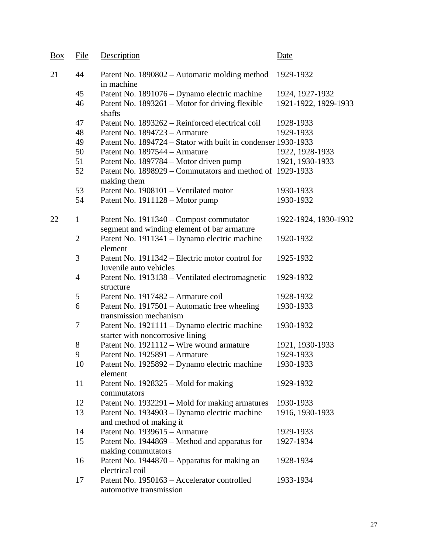| <b>Box</b> | File           | Description                                                                            | Date                 |
|------------|----------------|----------------------------------------------------------------------------------------|----------------------|
| 21         | 44             | Patent No. 1890802 – Automatic molding method<br>in machine                            | 1929-1932            |
|            | 45             | Patent No. 1891076 – Dynamo electric machine                                           | 1924, 1927-1932      |
|            | 46             | Patent No. 1893261 – Motor for driving flexible<br>shafts                              | 1921-1922, 1929-1933 |
|            | 47             | Patent No. 1893262 – Reinforced electrical coil                                        | 1928-1933            |
|            | 48             | Patent No. 1894723 - Armature                                                          | 1929-1933            |
|            | 49             | Patent No. 1894724 – Stator with built in condenser 1930-1933                          |                      |
|            | 50             | Patent No. 1897544 – Armature                                                          | 1922, 1928-1933      |
|            | 51             | Patent No. 1897784 – Motor driven pump                                                 | 1921, 1930-1933      |
|            | 52             | Patent No. 1898929 – Commutators and method of 1929-1933<br>making them                |                      |
|            | 53             | Patent No. 1908101 - Ventilated motor                                                  | 1930-1933            |
|            | 54             | Patent No. 1911128 – Motor pump                                                        | 1930-1932            |
| 22         | $\mathbf{1}$   | Patent No. 1911340 – Compost commutator<br>segment and winding element of bar armature | 1922-1924, 1930-1932 |
|            | $\overline{2}$ | Patent No. 1911341 – Dynamo electric machine<br>element                                | 1920-1932            |
|            | 3              | Patent No. 1911342 – Electric motor control for<br>Juvenile auto vehicles              | 1925-1932            |
|            | $\overline{4}$ | Patent No. 1913138 – Ventilated electromagnetic<br>structure                           | 1929-1932            |
|            | 5              | Patent No. 1917482 – Armature coil                                                     | 1928-1932            |
|            | 6              | Patent No. 1917501 – Automatic free wheeling<br>transmission mechanism                 | 1930-1933            |
|            | 7              | Patent No. 1921111 – Dynamo electric machine<br>starter with noncorrosive lining       | 1930-1932            |
|            | 8              | Patent No. 1921112 - Wire wound armature                                               | 1921, 1930-1933      |
|            | 9              | Patent No. 1925891 - Armature                                                          | 1929-1933            |
|            | 10             | Patent No. 1925892 – Dynamo electric machine<br>element                                | 1930-1933            |
|            | 11             | Patent No. 1928325 – Mold for making<br>commutators                                    | 1929-1932            |
|            | 12             | Patent No. 1932291 – Mold for making armatures                                         | 1930-1933            |
|            | 13             | Patent No. 1934903 – Dynamo electric machine                                           | 1916, 1930-1933      |
|            |                | and method of making it                                                                |                      |
|            | 14             | Patent No. 1939615 - Armature                                                          | 1929-1933            |
|            | 15             | Patent No. 1944869 – Method and apparatus for<br>making commutators                    | 1927-1934            |
|            | 16             | Patent No. 1944870 - Apparatus for making an<br>electrical coil                        | 1928-1934            |
|            | 17             | Patent No. 1950163 - Accelerator controlled<br>automotive transmission                 | 1933-1934            |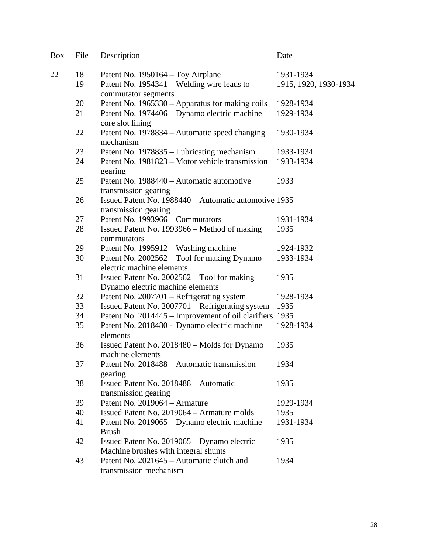| <b>Box</b> | <b>File</b> | Description                                                                         | Date                  |
|------------|-------------|-------------------------------------------------------------------------------------|-----------------------|
| 22         | 18          | Patent No. 1950164 – Toy Airplane                                                   | 1931-1934             |
|            | 19          | Patent No. 1954341 – Welding wire leads to<br>commutator segments                   | 1915, 1920, 1930-1934 |
|            | 20          | Patent No. 1965330 – Apparatus for making coils                                     | 1928-1934             |
|            | 21          | Patent No. 1974406 – Dynamo electric machine<br>core slot lining                    | 1929-1934             |
|            | 22          | Patent No. 1978834 – Automatic speed changing<br>mechanism                          | 1930-1934             |
|            | 23          | Patent No. 1978835 - Lubricating mechanism                                          | 1933-1934             |
|            | 24          | Patent No. 1981823 – Motor vehicle transmission<br>gearing                          | 1933-1934             |
|            | 25          | Patent No. 1988440 – Automatic automotive<br>transmission gearing                   | 1933                  |
|            | 26          | Issued Patent No. 1988440 – Automatic automotive 1935<br>transmission gearing       |                       |
|            | 27          | Patent No. 1993966 – Commutators                                                    | 1931-1934             |
|            | 28          | Issued Patent No. 1993966 – Method of making<br>commutators                         | 1935                  |
|            | 29          | Patent No. 1995912 – Washing machine                                                | 1924-1932             |
|            | 30          | Patent No. 2002562 - Tool for making Dynamo<br>electric machine elements            | 1933-1934             |
|            | 31          | Issued Patent No. 2002562 - Tool for making<br>Dynamo electric machine elements     | 1935                  |
|            | 32          | Patent No. 2007701 - Refrigerating system                                           | 1928-1934             |
|            | 33          | Issued Patent No. 2007701 - Refrigerating system                                    | 1935                  |
|            | 34          | Patent No. 2014445 - Improvement of oil clarifiers 1935                             |                       |
|            | 35          | Patent No. 2018480 - Dynamo electric machine<br>elements                            | 1928-1934             |
|            | 36          | Issued Patent No. 2018480 – Molds for Dynamo<br>machine elements                    | 1935                  |
|            | 37          | Patent No. 2018488 – Automatic transmission<br>gearing                              | 1934                  |
|            | 38          | Issued Patent No. 2018488 – Automatic<br>transmission gearing                       | 1935                  |
|            | 39          | Patent No. 2019064 - Armature                                                       | 1929-1934             |
|            | 40          | Issued Patent No. 2019064 - Armature molds                                          | 1935                  |
|            | 41          | Patent No. 2019065 – Dynamo electric machine<br><b>Brush</b>                        | 1931-1934             |
|            | 42          | Issued Patent No. 2019065 - Dynamo electric<br>Machine brushes with integral shunts | 1935                  |
|            | 43          | Patent No. 2021645 – Automatic clutch and<br>transmission mechanism                 | 1934                  |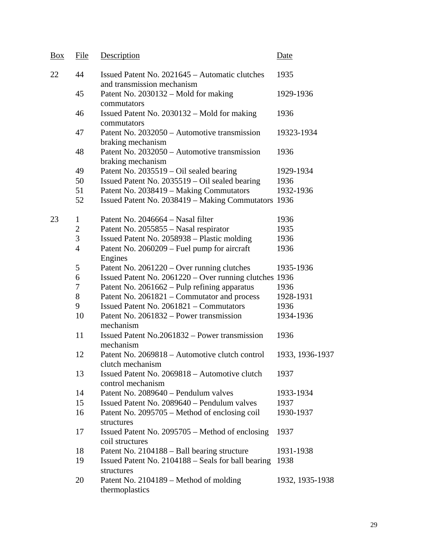| Box | File           | Description                                                                  | Date            |
|-----|----------------|------------------------------------------------------------------------------|-----------------|
| 22  | 44             | Issued Patent No. 2021645 – Automatic clutches<br>and transmission mechanism | 1935            |
|     | 45             | Patent No. 2030132 – Mold for making<br>commutators                          | 1929-1936       |
|     | 46             | Issued Patent No. 2030132 – Mold for making<br>commutators                   | 1936            |
|     | 47             | Patent No. 2032050 - Automotive transmission<br>braking mechanism            | 19323-1934      |
|     | 48             | Patent No. 2032050 – Automotive transmission<br>braking mechanism            | 1936            |
|     | 49             | Patent No. 2035519 – Oil sealed bearing                                      | 1929-1934       |
|     | 50             | Issued Patent No. 2035519 – Oil sealed bearing                               | 1936            |
|     | 51             | Patent No. 2038419 – Making Commutators                                      | 1932-1936       |
|     | 52             | Issued Patent No. 2038419 - Making Commutators 1936                          |                 |
| 23  | $\mathbf{1}$   | Patent No. 2046664 – Nasal filter                                            | 1936            |
|     | $\mathbf{2}$   | Patent No. 2055855 – Nasal respirator                                        | 1935            |
|     | 3              | Issued Patent No. 2058938 - Plastic molding                                  | 1936            |
|     | $\overline{4}$ | Patent No. 2060209 – Fuel pump for aircraft<br>Engines                       | 1936            |
|     | 5              | Patent No. $2061220 -$ Over running clutches                                 | 1935-1936       |
|     | 6              | Issued Patent No. 2061220 – Over running clutches 1936                       |                 |
|     | 7              | Patent No. 2061662 - Pulp refining apparatus                                 | 1936            |
|     | 8              | Patent No. 2061821 – Commutator and process                                  | 1928-1931       |
|     | 9              | Issued Patent No. 2061821 – Commutators                                      | 1936            |
|     | 10             | Patent No. 2061832 – Power transmission<br>mechanism                         | 1934-1936       |
|     | 11             | Issued Patent No.2061832 – Power transmission<br>mechanism                   | 1936            |
|     | 12             | Patent No. 2069818 - Automotive clutch control<br>clutch mechanism           | 1933, 1936-1937 |
|     | 13             | Issued Patent No. 2069818 - Automotive clutch<br>control mechanism           | 1937            |
|     | 14             | Patent No. 2089640 – Pendulum valves                                         | 1933-1934       |
|     | 15             | Issued Patent No. 2089640 - Pendulum valves                                  | 1937            |
|     | 16             | Patent No. 2095705 – Method of enclosing coil<br>structures                  | 1930-1937       |
|     | 17             | Issued Patent No. 2095705 – Method of enclosing<br>coil structures           | 1937            |
|     | 18             | Patent No. 2104188 – Ball bearing structure                                  | 1931-1938       |
|     | 19             | Issued Patent No. 2104188 - Seals for ball bearing<br>structures             | 1938            |
|     | 20             | Patent No. 2104189 – Method of molding<br>thermoplastics                     | 1932, 1935-1938 |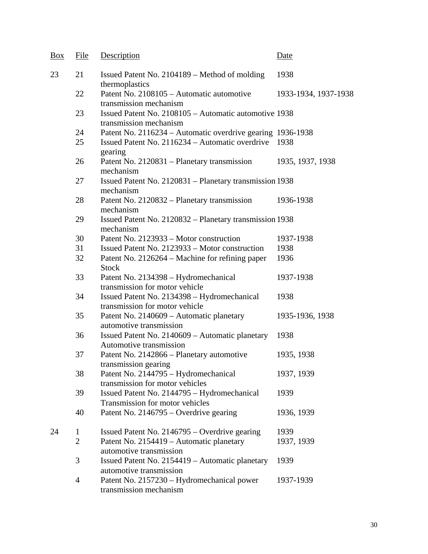| <b>Box</b> | File           | Description                                                                     | Date                 |
|------------|----------------|---------------------------------------------------------------------------------|----------------------|
| 23         | 21             | Issued Patent No. 2104189 – Method of molding<br>thermoplastics                 | 1938                 |
|            | 22             | Patent No. 2108105 - Automatic automotive<br>transmission mechanism             | 1933-1934, 1937-1938 |
|            | 23             | Issued Patent No. 2108105 - Automatic automotive 1938<br>transmission mechanism |                      |
|            | 24             | Patent No. 2116234 – Automatic overdrive gearing 1936-1938                      |                      |
|            | 25             | Issued Patent No. 2116234 – Automatic overdrive 1938<br>gearing                 |                      |
|            | 26             | Patent No. 2120831 – Planetary transmission<br>mechanism                        | 1935, 1937, 1938     |
|            | 27             | Issued Patent No. 2120831 – Planetary transmission 1938<br>mechanism            |                      |
|            | 28             | Patent No. 2120832 – Planetary transmission<br>mechanism                        | 1936-1938            |
|            | 29             | Issued Patent No. 2120832 – Planetary transmission 1938<br>mechanism            |                      |
|            | 30             | Patent No. 2123933 – Motor construction                                         | 1937-1938            |
|            | 31             | Issued Patent No. 2123933 - Motor construction                                  | 1938                 |
|            | 32             | Patent No. 2126264 – Machine for refining paper<br><b>Stock</b>                 | 1936                 |
|            | 33             | Patent No. 2134398 - Hydromechanical<br>transmission for motor vehicle          | 1937-1938            |
|            | 34             | Issued Patent No. 2134398 - Hydromechanical<br>transmission for motor vehicle   | 1938                 |
|            | 35             | Patent No. 2140609 - Automatic planetary<br>automotive transmission             | 1935-1936, 1938      |
|            | 36             | Issued Patent No. 2140609 – Automatic planetary<br>Automotive transmission      | 1938                 |
|            | 37             | Patent No. 2142866 - Planetary automotive<br>transmission gearing               | 1935, 1938           |
|            | 38             | Patent No. 2144795 - Hydromechanical<br>transmission for motor vehicles         | 1937, 1939           |
|            | 39             | Issued Patent No. 2144795 - Hydromechanical<br>Transmission for motor vehicles  | 1939                 |
|            | 40             | Patent No. 2146795 – Overdrive gearing                                          | 1936, 1939           |
| 24         | 1              | Issued Patent No. $2146795 -$ Overdrive gearing                                 | 1939                 |
|            | $\overline{2}$ | Patent No. 2154419 - Automatic planetary<br>automotive transmission             | 1937, 1939           |
|            | 3              | Issued Patent No. 2154419 - Automatic planetary<br>automotive transmission      | 1939                 |
|            | $\overline{4}$ | Patent No. 2157230 – Hydromechanical power<br>transmission mechanism            | 1937-1939            |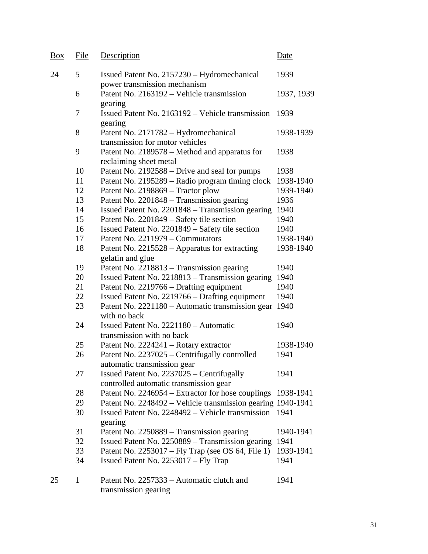| Box | File         | Description                                                                         | Date       |
|-----|--------------|-------------------------------------------------------------------------------------|------------|
| 24  | 5            | Issued Patent No. 2157230 - Hydromechanical<br>power transmission mechanism         | 1939       |
|     | 6            | Patent No. 2163192 – Vehicle transmission<br>gearing                                | 1937, 1939 |
|     | 7            | Issued Patent No. 2163192 – Vehicle transmission<br>gearing                         | 1939       |
|     | 8            | Patent No. 2171782 - Hydromechanical<br>transmission for motor vehicles             | 1938-1939  |
|     | 9            | Patent No. 2189578 - Method and apparatus for<br>reclaiming sheet metal             | 1938       |
|     | 10           | Patent No. 2192588 – Drive and seal for pumps                                       | 1938       |
|     | 11           | Patent No. 2195289 – Radio program timing clock                                     | 1938-1940  |
|     | 12           | Patent No. 2198869 - Tractor plow                                                   | 1939-1940  |
|     | 13           | Patent No. 2201848 – Transmission gearing                                           | 1936       |
|     | 14           | Issued Patent No. 2201848 – Transmission gearing                                    | 1940       |
|     | 15           | Patent No. 2201849 – Safety tile section                                            | 1940       |
|     | 16           | Issued Patent No. 2201849 - Safety tile section                                     | 1940       |
|     | 17           | Patent No. 2211979 - Commutators                                                    | 1938-1940  |
|     | 18           | Patent No. 2215528 – Apparatus for extracting<br>gelatin and glue                   | 1938-1940  |
|     | 19           | Patent No. 2218813 – Transmission gearing                                           | 1940       |
|     | 20           | Issued Patent No. 2218813 - Transmission gearing                                    | 1940       |
|     | 21           | Patent No. 2219766 – Drafting equipment                                             | 1940       |
|     | 22           | Issued Patent No. 2219766 – Drafting equipment                                      | 1940       |
|     | 23           | Patent No. 2221180 – Automatic transmission gear<br>with no back                    | 1940       |
|     | 24           | Issued Patent No. 2221180 - Automatic<br>transmission with no back                  | 1940       |
|     | 25           | Patent No. 2224241 - Rotary extractor                                               | 1938-1940  |
|     | 26           | Patent No. 2237025 - Centrifugally controlled<br>automatic transmission gear        | 1941       |
|     | 27           | Issued Patent No. 2237025 - Centrifugally<br>controlled automatic transmission gear | 1941       |
|     | 28           | Patent No. 2246954 – Extractor for hose couplings                                   | 1938-1941  |
|     | 29           | Patent No. 2248492 – Vehicle transmission gearing 1940-1941                         |            |
|     | 30           | Issued Patent No. 2248492 – Vehicle transmission<br>gearing                         | 1941       |
|     | 31           | Patent No. 2250889 – Transmission gearing                                           | 1940-1941  |
|     | 32           | Issued Patent No. 2250889 – Transmission gearing                                    | 1941       |
|     | 33           | Patent No. 2253017 - Fly Trap (see OS 64, File 1)                                   | 1939-1941  |
|     | 34           | Issued Patent No. 2253017 – Fly Trap                                                | 1941       |
| 25  | $\mathbf{1}$ | Patent No. 2257333 – Automatic clutch and<br>transmission gearing                   | 1941       |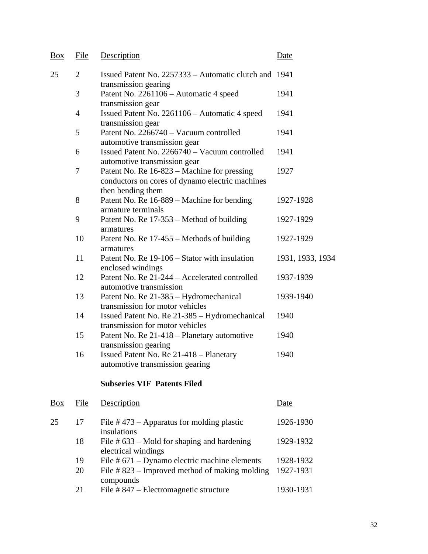| Box        | File           | Description                                                                                                         | Date             |
|------------|----------------|---------------------------------------------------------------------------------------------------------------------|------------------|
| 25         | $\overline{2}$ | Issued Patent No. 2257333 – Automatic clutch and 1941<br>transmission gearing                                       |                  |
|            | 3              | Patent No. 2261106 - Automatic 4 speed<br>transmission gear                                                         | 1941             |
|            | $\overline{4}$ | Issued Patent No. 2261106 - Automatic 4 speed<br>transmission gear                                                  | 1941             |
|            | 5              | Patent No. 2266740 - Vacuum controlled<br>automotive transmission gear                                              | 1941             |
|            | 6              | Issued Patent No. 2266740 - Vacuum controlled<br>automotive transmission gear                                       | 1941             |
|            | 7              | Patent No. Re 16-823 - Machine for pressing<br>conductors on cores of dynamo electric machines<br>then bending them | 1927             |
|            | 8              | Patent No. Re 16-889 – Machine for bending<br>armature terminals                                                    | 1927-1928        |
|            | 9              | Patent No. Re 17-353 – Method of building<br>armatures                                                              | 1927-1929        |
|            | 10             | Patent No. Re 17-455 – Methods of building<br>armatures                                                             | 1927-1929        |
|            | 11             | Patent No. Re 19-106 – Stator with insulation<br>enclosed windings                                                  | 1931, 1933, 1934 |
|            | 12             | Patent No. Re 21-244 - Accelerated controlled<br>automotive transmission                                            | 1937-1939        |
|            | 13             | Patent No. Re 21-385 – Hydromechanical<br>transmission for motor vehicles                                           | 1939-1940        |
|            | 14             | Issued Patent No. Re 21-385 - Hydromechanical<br>transmission for motor vehicles                                    | 1940             |
|            | 15             | Patent No. Re 21-418 - Planetary automotive<br>transmission gearing                                                 | 1940             |
|            | 16             | Issued Patent No. Re 21-418 - Planetary<br>automotive transmission gearing                                          | 1940             |
|            |                | <b>Subseries VIF Patents Filed</b>                                                                                  |                  |
| <b>Box</b> | File           | Description                                                                                                         | Date             |
| 25         | 17             | File $#473$ – Apparatus for molding plastic<br>insulations                                                          | 1926-1930        |
|            | 18             | File $# 633 -$ Mold for shaping and hardening<br>electrical windings                                                | 1929-1932        |
|            | 19             | File # 671 - Dynamo electric machine elements                                                                       | 1928-1932        |
|            | 20             | File #823 - Improved method of making molding<br>compounds                                                          | 1927-1931        |
|            | 21             | File #847 – Electromagnetic structure                                                                               | 1930-1931        |